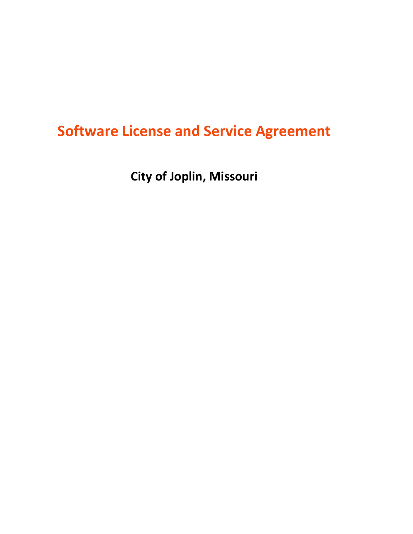# **Software License and Service Agreement**

**City of Joplin, Missouri**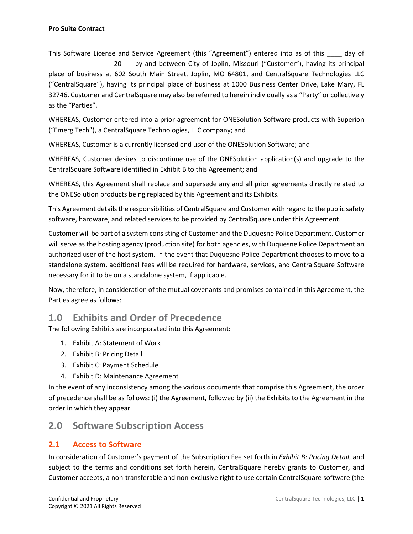This Software License and Service Agreement (this "Agreement") entered into as of this ally of 20 by and between City of Joplin, Missouri ("Customer"), having its principal place of business at 602 South Main Street, Joplin, MO 64801, and CentralSquare Technologies LLC ("CentralSquare"), having its principal place of business at 1000 Business Center Drive, Lake Mary, FL 32746. Customer and CentralSquare may also be referred to herein individually as a "Party" or collectively as the "Parties".

WHEREAS, Customer entered into a prior agreement for ONESolution Software products with Superion ("EmergiTech"), a CentralSquare Technologies, LLC company; and

WHEREAS, Customer is a currently licensed end user of the ONESolution Software; and

WHEREAS, Customer desires to discontinue use of the ONESolution application(s) and upgrade to the CentralSquare Software identified in Exhibit B to this Agreement; and

WHEREAS, this Agreement shall replace and supersede any and all prior agreements directly related to the ONESolution products being replaced by this Agreement and its Exhibits.

This Agreement details the responsibilities of CentralSquare and Customer with regard to the public safety software, hardware, and related services to be provided by CentralSquare under this Agreement.

Customer will be part of a system consisting of Customer and the Duquesne Police Department. Customer will serve as the hosting agency (production site) for both agencies, with Duquesne Police Department an authorized user of the host system. In the event that Duquesne Police Department chooses to move to a standalone system, additional fees will be required for hardware, services, and CentralSquare Software necessary for it to be on a standalone system, if applicable.

Now, therefore, in consideration of the mutual covenants and promises contained in this Agreement, the Parties agree as follows:

## **1.0 Exhibits and Order of Precedence**

The following Exhibits are incorporated into this Agreement:

- 1. Exhibit A: Statement of Work
- 2. Exhibit B: Pricing Detail
- 3. Exhibit C: Payment Schedule
- 4. Exhibit D: Maintenance Agreement

In the event of any inconsistency among the various documents that comprise this Agreement, the order of precedence shall be as follows: (i) the Agreement, followed by (ii) the Exhibits to the Agreement in the order in which they appear.

## **2.0 Software Subscription Access**

#### **2.1 Access to Software**

In consideration of Customer's payment of the Subscription Fee set forth in *Exhibit B: Pricing Detail*, and subject to the terms and conditions set forth herein, CentralSquare hereby grants to Customer, and Customer accepts, a non-transferable and non-exclusive right to use certain CentralSquare software (the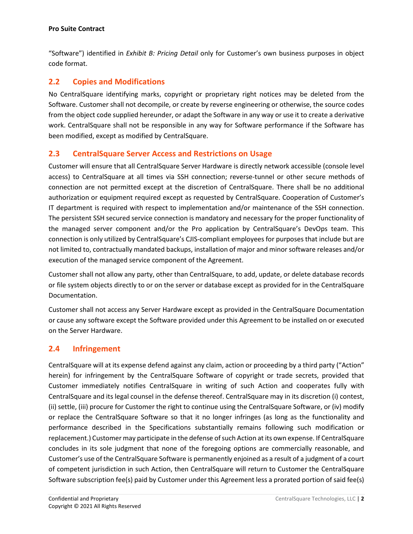"Software") identified in *Exhibit B: Pricing Detail* only for Customer's own business purposes in object code format.

### **2.2 Copies and Modifications**

No CentralSquare identifying marks, copyright or proprietary right notices may be deleted from the Software. Customer shall not decompile, or create by reverse engineering or otherwise, the source codes from the object code supplied hereunder, or adapt the Software in any way or use it to create a derivative work. CentralSquare shall not be responsible in any way for Software performance if the Software has been modified, except as modified by CentralSquare.

#### **2.3 CentralSquare Server Access and Restrictions on Usage**

Customer will ensure that all CentralSquare Server Hardware is directly network accessible (console level access) to CentralSquare at all times via SSH connection; reverse-tunnel or other secure methods of connection are not permitted except at the discretion of CentralSquare. There shall be no additional authorization or equipment required except as requested by CentralSquare. Cooperation of Customer's IT department is required with respect to implementation and/or maintenance of the SSH connection. The persistent SSH secured service connection is mandatory and necessary for the proper functionality of the managed server component and/or the Pro application by CentralSquare's DevOps team. This connection is only utilized by CentralSquare's CJIS-compliant employees for purposes that include but are not limited to, contractually mandated backups, installation of major and minor software releases and/or execution of the managed service component of the Agreement.

Customer shall not allow any party, other than CentralSquare, to add, update, or delete database records or file system objects directly to or on the server or database except as provided for in the CentralSquare Documentation.

Customer shall not access any Server Hardware except as provided in the CentralSquare Documentation or cause any software except the Software provided under this Agreement to be installed on or executed on the Server Hardware.

### **2.4 Infringement**

CentralSquare will at its expense defend against any claim, action or proceeding by a third party ("Action" herein) for infringement by the CentralSquare Software of copyright or trade secrets, provided that Customer immediately notifies CentralSquare in writing of such Action and cooperates fully with CentralSquare and its legal counsel in the defense thereof. CentralSquare may in its discretion (i) contest, (ii) settle, (iii) procure for Customer the right to continue using the CentralSquare Software, or (iv) modify or replace the CentralSquare Software so that it no longer infringes (as long as the functionality and performance described in the Specifications substantially remains following such modification or replacement.) Customer may participate in the defense of such Action at its own expense. If CentralSquare concludes in its sole judgment that none of the foregoing options are commercially reasonable, and Customer's use of the CentralSquare Software is permanently enjoined as a result of a judgment of a court of competent jurisdiction in such Action, then CentralSquare will return to Customer the CentralSquare Software subscription fee(s) paid by Customer under this Agreement less a prorated portion of said fee(s)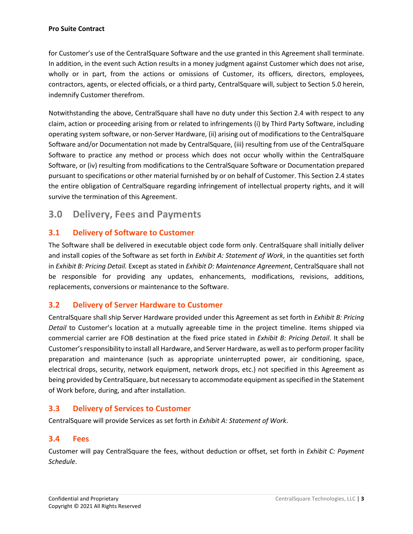for Customer's use of the CentralSquare Software and the use granted in this Agreement shall terminate. In addition, in the event such Action results in a money judgment against Customer which does not arise, wholly or in part, from the actions or omissions of Customer, its officers, directors, employees, contractors, agents, or elected officials, or a third party, CentralSquare will, subject to Section 5.0 herein, indemnify Customer therefrom.

Notwithstanding the above, CentralSquare shall have no duty under this Section 2.4 with respect to any claim, action or proceeding arising from or related to infringements (i) by Third Party Software, including operating system software, or non-Server Hardware, (ii) arising out of modifications to the CentralSquare Software and/or Documentation not made by CentralSquare, (iii) resulting from use of the CentralSquare Software to practice any method or process which does not occur wholly within the CentralSquare Software, or (iv) resulting from modifications to the CentralSquare Software or Documentation prepared pursuant to specifications or other material furnished by or on behalf of Customer. This Section 2.4 states the entire obligation of CentralSquare regarding infringement of intellectual property rights, and it will survive the termination of this Agreement.

## **3.0 Delivery, Fees and Payments**

### **3.1 Delivery of Software to Customer**

The Software shall be delivered in executable object code form only. CentralSquare shall initially deliver and install copies of the Software as set forth in *Exhibit A: Statement of Work*, in the quantities set forth in *Exhibit B: Pricing Detail.* Except as stated in *Exhibit D: Maintenance Agreement*, CentralSquare shall not be responsible for providing any updates, enhancements, modifications, revisions, additions, replacements, conversions or maintenance to the Software.

### **3.2 Delivery of Server Hardware to Customer**

CentralSquare shall ship Server Hardware provided under this Agreement as set forth in *Exhibit B: Pricing Detail* to Customer's location at a mutually agreeable time in the project timeline. Items shipped via commercial carrier are FOB destination at the fixed price stated in *Exhibit B: Pricing Detail*. It shall be Customer's responsibility to install all Hardware, and Server Hardware, as well asto perform proper facility preparation and maintenance (such as appropriate uninterrupted power, air conditioning, space, electrical drops, security, network equipment, network drops, etc.) not specified in this Agreement as being provided by CentralSquare, but necessary to accommodate equipment as specified in the Statement of Work before, during, and after installation.

#### **3.3 Delivery of Services to Customer**

CentralSquare will provide Services as set forth in *Exhibit A: Statement of Work*.

#### **3.4 Fees**

Customer will pay CentralSquare the fees, without deduction or offset, set forth in *Exhibit C: Payment Schedule*.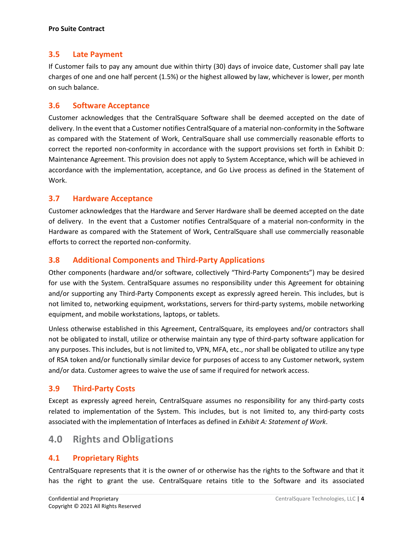#### **3.5 Late Payment**

If Customer fails to pay any amount due within thirty (30) days of invoice date, Customer shall pay late charges of one and one half percent (1.5%) or the highest allowed by law, whichever is lower, per month on such balance.

#### **3.6 Software Acceptance**

Customer acknowledges that the CentralSquare Software shall be deemed accepted on the date of delivery. In the event that a Customer notifies CentralSquare of a material non-conformity in the Software as compared with the Statement of Work, CentralSquare shall use commercially reasonable efforts to correct the reported non-conformity in accordance with the support provisions set forth in Exhibit D: Maintenance Agreement. This provision does not apply to System Acceptance, which will be achieved in accordance with the implementation, acceptance, and Go Live process as defined in the Statement of Work.

#### **3.7 Hardware Acceptance**

Customer acknowledges that the Hardware and Server Hardware shall be deemed accepted on the date of delivery. In the event that a Customer notifies CentralSquare of a material non-conformity in the Hardware as compared with the Statement of Work, CentralSquare shall use commercially reasonable efforts to correct the reported non-conformity.

#### **3.8 Additional Components and Third-Party Applications**

Other components (hardware and/or software, collectively "Third-Party Components") may be desired for use with the System. CentralSquare assumes no responsibility under this Agreement for obtaining and/or supporting any Third-Party Components except as expressly agreed herein. This includes, but is not limited to, networking equipment, workstations, servers for third-party systems, mobile networking equipment, and mobile workstations, laptops, or tablets.

Unless otherwise established in this Agreement, CentralSquare, its employees and/or contractors shall not be obligated to install, utilize or otherwise maintain any type of third-party software application for any purposes. This includes, but is not limited to, VPN, MFA, etc., nor shall be obligated to utilize any type of RSA token and/or functionally similar device for purposes of access to any Customer network, system and/or data. Customer agrees to waive the use of same if required for network access.

#### **3.9 Third-Party Costs**

Except as expressly agreed herein, CentralSquare assumes no responsibility for any third-party costs related to implementation of the System. This includes, but is not limited to, any third-party costs associated with the implementation of Interfaces as defined in *Exhibit A: Statement of Work*.

## **4.0 Rights and Obligations**

#### **4.1 Proprietary Rights**

CentralSquare represents that it is the owner of or otherwise has the rights to the Software and that it has the right to grant the use. CentralSquare retains title to the Software and its associated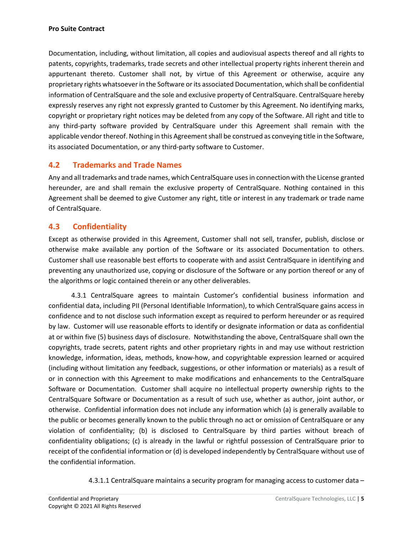Documentation, including, without limitation, all copies and audiovisual aspects thereof and all rights to patents, copyrights, trademarks, trade secrets and other intellectual property rights inherent therein and appurtenant thereto. Customer shall not, by virtue of this Agreement or otherwise, acquire any proprietary rights whatsoever in the Software or its associated Documentation, which shall be confidential information of CentralSquare and the sole and exclusive property of CentralSquare. CentralSquare hereby expressly reserves any right not expressly granted to Customer by this Agreement. No identifying marks, copyright or proprietary right notices may be deleted from any copy of the Software. All right and title to any third-party software provided by CentralSquare under this Agreement shall remain with the applicable vendor thereof. Nothing in this Agreement shall be construed as conveying title in the Software, its associated Documentation, or any third-party software to Customer.

#### **4.2 Trademarks and Trade Names**

Any and all trademarks and trade names, which CentralSquare uses in connection with the License granted hereunder, are and shall remain the exclusive property of CentralSquare. Nothing contained in this Agreement shall be deemed to give Customer any right, title or interest in any trademark or trade name of CentralSquare.

#### **4.3 Confidentiality**

Except as otherwise provided in this Agreement, Customer shall not sell, transfer, publish, disclose or otherwise make available any portion of the Software or its associated Documentation to others. Customer shall use reasonable best efforts to cooperate with and assist CentralSquare in identifying and preventing any unauthorized use, copying or disclosure of the Software or any portion thereof or any of the algorithms or logic contained therein or any other deliverables.

 4.3.1 CentralSquare agrees to maintain Customer's confidential business information and confidential data, including PII (Personal Identifiable Information), to which CentralSquare gains access in confidence and to not disclose such information except as required to perform hereunder or as required by law. Customer will use reasonable efforts to identify or designate information or data as confidential at or within five (5) business days of disclosure. Notwithstanding the above, CentralSquare shall own the copyrights, trade secrets, patent rights and other proprietary rights in and may use without restriction knowledge, information, ideas, methods, know-how, and copyrightable expression learned or acquired (including without limitation any feedback, suggestions, or other information or materials) as a result of or in connection with this Agreement to make modifications and enhancements to the CentralSquare Software or Documentation. Customer shall acquire no intellectual property ownership rights to the CentralSquare Software or Documentation as a result of such use, whether as author, joint author, or otherwise. Confidential information does not include any information which (a) is generally available to the public or becomes generally known to the public through no act or omission of CentralSquare or any violation of confidentiality; (b) is disclosed to CentralSquare by third parties without breach of confidentiality obligations; (c) is already in the lawful or rightful possession of CentralSquare prior to receipt of the confidential information or (d) is developed independently by CentralSquare without use of the confidential information.

4.3.1.1 CentralSquare maintains a security program for managing access to customer data –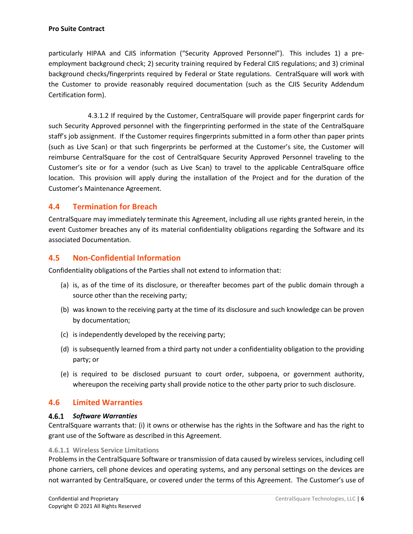particularly HIPAA and CJIS information ("Security Approved Personnel"). This includes 1) a preemployment background check; 2) security training required by Federal CJIS regulations; and 3) criminal background checks/fingerprints required by Federal or State regulations. CentralSquare will work with the Customer to provide reasonably required documentation (such as the CJIS Security Addendum Certification form).

4.3.1.2 If required by the Customer, CentralSquare will provide paper fingerprint cards for such Security Approved personnel with the fingerprinting performed in the state of the CentralSquare staff's job assignment. If the Customer requires fingerprints submitted in a form other than paper prints (such as Live Scan) or that such fingerprints be performed at the Customer's site, the Customer will reimburse CentralSquare for the cost of CentralSquare Security Approved Personnel traveling to the Customer's site or for a vendor (such as Live Scan) to travel to the applicable CentralSquare office location. This provision will apply during the installation of the Project and for the duration of the Customer's Maintenance Agreement.

#### **4.4 Termination for Breach**

CentralSquare may immediately terminate this Agreement, including all use rights granted herein, in the event Customer breaches any of its material confidentiality obligations regarding the Software and its associated Documentation.

#### **4.5 Non-Confidential Information**

Confidentiality obligations of the Parties shall not extend to information that:

- (a) is, as of the time of its disclosure, or thereafter becomes part of the public domain through a source other than the receiving party;
- (b) was known to the receiving party at the time of its disclosure and such knowledge can be proven by documentation;
- (c) is independently developed by the receiving party;
- (d) is subsequently learned from a third party not under a confidentiality obligation to the providing party; or
- (e) is required to be disclosed pursuant to court order, subpoena, or government authority, whereupon the receiving party shall provide notice to the other party prior to such disclosure.

#### **4.6 Limited Warranties**

#### *Software Warranties*

CentralSquare warrants that: (i) it owns or otherwise has the rights in the Software and has the right to grant use of the Software as described in this Agreement.

#### **4.6.1.1 Wireless Service Limitations**

Problems in the CentralSquare Software or transmission of data caused by wireless services, including cell phone carriers, cell phone devices and operating systems, and any personal settings on the devices are not warranted by CentralSquare, or covered under the terms of this Agreement. The Customer's use of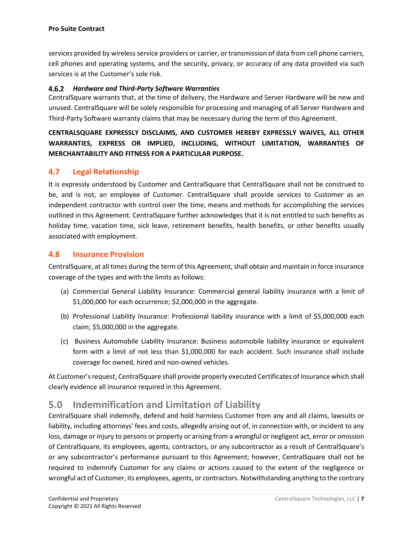services provided by wireless service providers or carrier, or transmission of data from cell phone carriers, cell phones and operating systems, and the security, privacy, or accuracy of any data provided via such services is at the Customer's sole risk.

#### *Hardware and Third-Party Software Warranties*

CentralSquare warrants that, at the time of delivery, the Hardware and Server Hardware will be new and unused. CentralSquare will be solely responsible for processing and managing of all Server Hardware and Third-Party Software warranty claims that may be necessary during the term of this Agreement.

#### **CENTRALSQUARE EXPRESSLY DISCLAIMS, AND CUSTOMER HEREBY EXPRESSLY WAIVES, ALL OTHER WARRANTIES, EXPRESS OR IMPLIED, INCLUDING, WITHOUT LIMITATION, WARRANTIES OF MERCHANTABILITY AND FITNESS FOR A PARTICULAR PURPOSE.**

#### **4.7 Legal Relationship**

It is expressly understood by Customer and CentralSquare that CentralSquare shall not be construed to be, and is not, an employee of Customer. CentralSquare shall provide services to Customer as an independent contractor with control over the time, means and methods for accomplishing the services outlined in this Agreement. CentralSquare further acknowledges that it is not entitled to such benefits as holiday time, vacation time, sick leave, retirement benefits, health benefits, or other benefits usually associated with employment.

#### **4.8 Insurance Provision**

CentralSquare, at all times during the term of this Agreement, shall obtain and maintain in force insurance coverage of the types and with the limits as follows:

- (a) Commercial General Liability Insurance: Commercial general liability insurance with a limit of \$1,000,000 for each occurrence; \$2,000,000 in the aggregate.
- (b) Professional Liability Insurance: Professional liability insurance with a limit of \$5,000,000 each claim; \$5,000,000 in the aggregate.
- (c) Business Automobile Liability Insurance: Business automobile liability insurance or equivalent form with a limit of not less than \$1,000,000 for each accident. Such insurance shall include coverage for owned, hired and non-owned vehicles.

At Customer's request, CentralSquare shall provide properly executed Certificates of Insurance which shall clearly evidence all insurance required in this Agreement.

## **5.0 Indemnification and Limitation of Liability**

CentralSquare shall indemnify, defend and hold harmless Customer from any and all claims, lawsuits or liability, including attorneys' fees and costs, allegedly arising out of, in connection with, or incident to any loss, damage or injury to persons or property or arising from a wrongful or negligent act, error or omission of CentralSquare, its employees, agents, contractors, or any subcontractor as a result of CentralSquare's or any subcontractor's performance pursuant to this Agreement; however, CentralSquare shall not be required to indemnify Customer for any claims or actions caused to the extent of the negligence or wrongful act of Customer, its employees, agents, or contractors. Notwithstanding anything to the contrary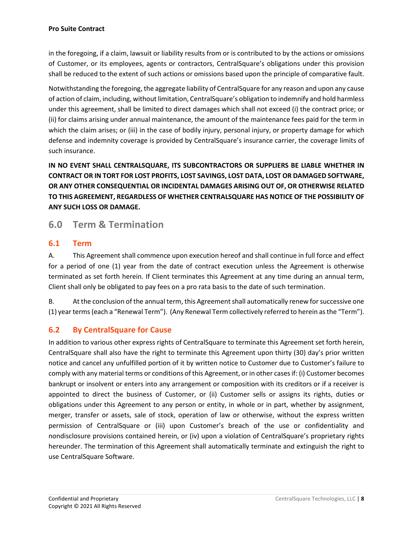in the foregoing, if a claim, lawsuit or liability results from or is contributed to by the actions or omissions of Customer, or its employees, agents or contractors, CentralSquare's obligations under this provision shall be reduced to the extent of such actions or omissions based upon the principle of comparative fault.

Notwithstanding the foregoing, the aggregate liability of CentralSquare for any reason and upon any cause of action of claim, including, without limitation, CentralSquare's obligation to indemnify and hold harmless under this agreement, shall be limited to direct damages which shall not exceed (i) the contract price; or (ii) for claims arising under annual maintenance, the amount of the maintenance fees paid for the term in which the claim arises; or (iii) in the case of bodily injury, personal injury, or property damage for which defense and indemnity coverage is provided by CentralSquare's insurance carrier, the coverage limits of such insurance.

**IN NO EVENT SHALL CENTRALSQUARE, ITS SUBCONTRACTORS OR SUPPLIERS BE LIABLE WHETHER IN CONTRACT OR IN TORT FOR LOST PROFITS, LOST SAVINGS, LOST DATA, LOST OR DAMAGED SOFTWARE, OR ANY OTHER CONSEQUENTIAL OR INCIDENTAL DAMAGES ARISING OUT OF, OR OTHERWISE RELATED TO THIS AGREEMENT, REGARDLESS OF WHETHER CENTRALSQUARE HAS NOTICE OF THE POSSIBILITY OF ANY SUCH LOSS OR DAMAGE.**

## **6.0 Term & Termination**

#### **6.1 Term**

A. This Agreement shall commence upon execution hereof and shall continue in full force and effect for a period of one (1) year from the date of contract execution unless the Agreement is otherwise terminated as set forth herein. If Client terminates this Agreement at any time during an annual term, Client shall only be obligated to pay fees on a pro rata basis to the date of such termination.

B. At the conclusion of the annual term, this Agreement shall automatically renew for successive one (1) year terms (each a "Renewal Term"). (Any Renewal Term collectively referred to herein as the "Term").

### **6.2 By CentralSquare for Cause**

In addition to various other express rights of CentralSquare to terminate this Agreement set forth herein, CentralSquare shall also have the right to terminate this Agreement upon thirty (30) day's prior written notice and cancel any unfulfilled portion of it by written notice to Customer due to Customer's failure to comply with any material terms or conditions of this Agreement, or in other casesif: (i) Customer becomes bankrupt or insolvent or enters into any arrangement or composition with its creditors or if a receiver is appointed to direct the business of Customer, or (ii) Customer sells or assigns its rights, duties or obligations under this Agreement to any person or entity, in whole or in part, whether by assignment, merger, transfer or assets, sale of stock, operation of law or otherwise, without the express written permission of CentralSquare or (iii) upon Customer's breach of the use or confidentiality and nondisclosure provisions contained herein, or (iv) upon a violation of CentralSquare's proprietary rights hereunder. The termination of this Agreement shall automatically terminate and extinguish the right to use CentralSquare Software.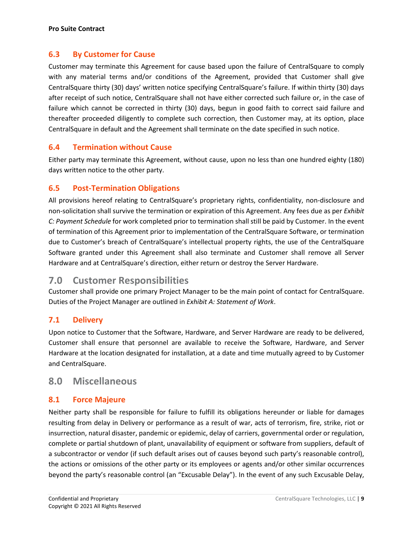#### **6.3 By Customer for Cause**

Customer may terminate this Agreement for cause based upon the failure of CentralSquare to comply with any material terms and/or conditions of the Agreement, provided that Customer shall give CentralSquare thirty (30) days' written notice specifying CentralSquare's failure. If within thirty (30) days after receipt of such notice, CentralSquare shall not have either corrected such failure or, in the case of failure which cannot be corrected in thirty (30) days, begun in good faith to correct said failure and thereafter proceeded diligently to complete such correction, then Customer may, at its option, place CentralSquare in default and the Agreement shall terminate on the date specified in such notice.

#### **6.4 Termination without Cause**

Either party may terminate this Agreement, without cause, upon no less than one hundred eighty (180) days written notice to the other party.

#### **6.5 Post-Termination Obligations**

All provisions hereof relating to CentralSquare's proprietary rights, confidentiality, non-disclosure and non-solicitation shall survive the termination or expiration of this Agreement. Any fees due as per *Exhibit C: Payment Schedule* for work completed prior to termination shall still be paid by Customer. In the event of termination of this Agreement prior to implementation of the CentralSquare Software, or termination due to Customer's breach of CentralSquare's intellectual property rights, the use of the CentralSquare Software granted under this Agreement shall also terminate and Customer shall remove all Server Hardware and at CentralSquare's direction, either return or destroy the Server Hardware.

## **7.0 Customer Responsibilities**

Customer shall provide one primary Project Manager to be the main point of contact for CentralSquare. Duties of the Project Manager are outlined in *Exhibit A: Statement of Work*.

#### **7.1 Delivery**

Upon notice to Customer that the Software, Hardware, and Server Hardware are ready to be delivered, Customer shall ensure that personnel are available to receive the Software, Hardware, and Server Hardware at the location designated for installation, at a date and time mutually agreed to by Customer and CentralSquare.

### **8.0 Miscellaneous**

#### **8.1 Force Majeure**

Neither party shall be responsible for failure to fulfill its obligations hereunder or liable for damages resulting from delay in Delivery or performance as a result of war, acts of terrorism, fire, strike, riot or insurrection, natural disaster, pandemic or epidemic, delay of carriers, governmental order or regulation, complete or partial shutdown of plant, unavailability of equipment or software from suppliers, default of a subcontractor or vendor (if such default arises out of causes beyond such party's reasonable control), the actions or omissions of the other party or its employees or agents and/or other similar occurrences beyond the party's reasonable control (an "Excusable Delay"). In the event of any such Excusable Delay,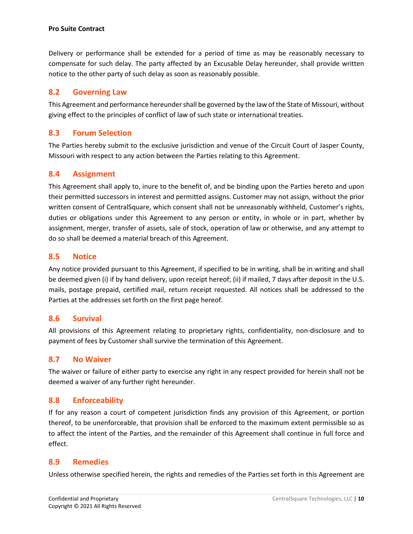Delivery or performance shall be extended for a period of time as may be reasonably necessary to compensate for such delay. The party affected by an Excusable Delay hereunder, shall provide written notice to the other party of such delay as soon as reasonably possible.

#### **8.2 Governing Law**

This Agreement and performance hereunder shall be governed by the law of the State of Missouri, without giving effect to the principles of conflict of law of such state or international treaties.

#### **8.3 Forum Selection**

The Parties hereby submit to the exclusive jurisdiction and venue of the Circuit Court of Jasper County, Missouri with respect to any action between the Parties relating to this Agreement.

### **8.4 Assignment**

This Agreement shall apply to, inure to the benefit of, and be binding upon the Parties hereto and upon their permitted successors in interest and permitted assigns. Customer may not assign, without the prior written consent of CentralSquare, which consent shall not be unreasonably withheld, Customer's rights, duties or obligations under this Agreement to any person or entity, in whole or in part, whether by assignment, merger, transfer of assets, sale of stock, operation of law or otherwise, and any attempt to do so shall be deemed a material breach of this Agreement.

#### **8.5 Notice**

Any notice provided pursuant to this Agreement, if specified to be in writing, shall be in writing and shall be deemed given (i) if by hand delivery, upon receipt hereof; (ii) if mailed, 7 days after deposit in the U.S. mails, postage prepaid, certified mail, return receipt requested. All notices shall be addressed to the Parties at the addresses set forth on the first page hereof.

#### **8.6 Survival**

All provisions of this Agreement relating to proprietary rights, confidentiality, non-disclosure and to payment of fees by Customer shall survive the termination of this Agreement.

#### **8.7 No Waiver**

The waiver or failure of either party to exercise any right in any respect provided for herein shall not be deemed a waiver of any further right hereunder.

#### **8.8 Enforceability**

If for any reason a court of competent jurisdiction finds any provision of this Agreement, or portion thereof, to be unenforceable, that provision shall be enforced to the maximum extent permissible so as to affect the intent of the Parties, and the remainder of this Agreement shall continue in full force and effect.

#### **8.9 Remedies**

Unless otherwise specified herein, the rights and remedies of the Parties set forth in this Agreement are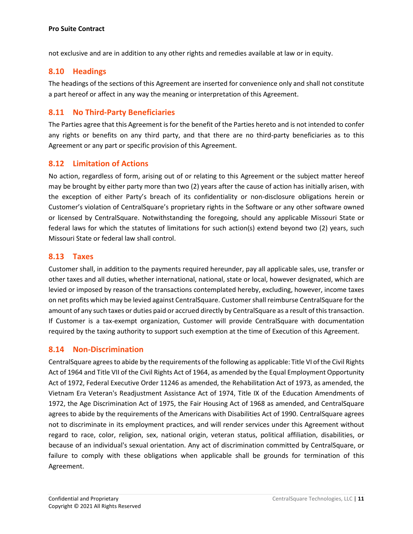not exclusive and are in addition to any other rights and remedies available at law or in equity.

#### **8.10 Headings**

The headings of the sections of this Agreement are inserted for convenience only and shall not constitute a part hereof or affect in any way the meaning or interpretation of this Agreement.

#### **8.11 No Third-Party Beneficiaries**

The Parties agree that this Agreement is for the benefit of the Parties hereto and is not intended to confer any rights or benefits on any third party, and that there are no third-party beneficiaries as to this Agreement or any part or specific provision of this Agreement.

#### **8.12 Limitation of Actions**

No action, regardless of form, arising out of or relating to this Agreement or the subject matter hereof may be brought by either party more than two (2) years after the cause of action has initially arisen, with the exception of either Party's breach of its confidentiality or non-disclosure obligations herein or Customer's violation of CentralSquare's proprietary rights in the Software or any other software owned or licensed by CentralSquare. Notwithstanding the foregoing, should any applicable Missouri State or federal laws for which the statutes of limitations for such action(s) extend beyond two (2) years, such Missouri State or federal law shall control.

#### **8.13 Taxes**

Customer shall, in addition to the payments required hereunder, pay all applicable sales, use, transfer or other taxes and all duties, whether international, national, state or local, however designated, which are levied or imposed by reason of the transactions contemplated hereby, excluding, however, income taxes on net profits which may be levied against CentralSquare. Customer shall reimburse CentralSquare for the amount of any such taxes or duties paid or accrued directly by CentralSquare as a result of this transaction. If Customer is a tax-exempt organization, Customer will provide CentralSquare with documentation required by the taxing authority to support such exemption at the time of Execution of this Agreement.

#### **8.14 Non-Discrimination**

CentralSquare agrees to abide by the requirements of the following as applicable: Title VI of the Civil Rights Act of 1964 and Title VII of the Civil Rights Act of 1964, as amended by the Equal Employment Opportunity Act of 1972, Federal Executive Order 11246 as amended, the Rehabilitation Act of 1973, as amended, the Vietnam Era Veteran's Readjustment Assistance Act of 1974, Title IX of the Education Amendments of 1972, the Age Discrimination Act of 1975, the Fair Housing Act of 1968 as amended, and CentralSquare agrees to abide by the requirements of the Americans with Disabilities Act of 1990. CentralSquare agrees not to discriminate in its employment practices, and will render services under this Agreement without regard to race, color, religion, sex, national origin, veteran status, political affiliation, disabilities, or because of an individual's sexual orientation. Any act of discrimination committed by CentralSquare, or failure to comply with these obligations when applicable shall be grounds for termination of this Agreement.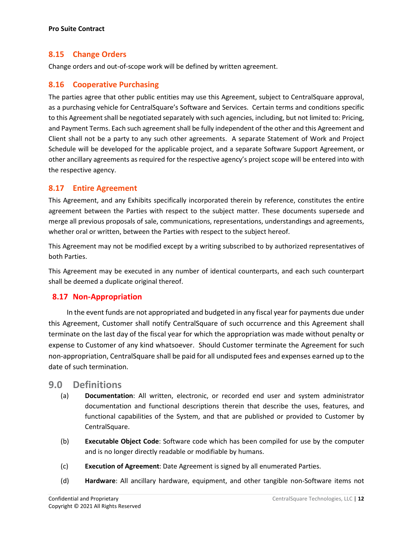#### **8.15 Change Orders**

Change orders and out-of-scope work will be defined by written agreement.

#### **8.16 Cooperative Purchasing**

The parties agree that other public entities may use this Agreement, subject to CentralSquare approval, as a purchasing vehicle for CentralSquare's Software and Services. Certain terms and conditions specific to this Agreement shall be negotiated separately with such agencies, including, but not limited to: Pricing, and Payment Terms. Each such agreement shall be fully independent of the other and this Agreement and Client shall not be a party to any such other agreements. A separate Statement of Work and Project Schedule will be developed for the applicable project, and a separate Software Support Agreement, or other ancillary agreements as required for the respective agency's project scope will be entered into with the respective agency.

#### **8.17 Entire Agreement**

This Agreement, and any Exhibits specifically incorporated therein by reference, constitutes the entire agreement between the Parties with respect to the subject matter. These documents supersede and merge all previous proposals of sale, communications, representations, understandings and agreements, whether oral or written, between the Parties with respect to the subject hereof.

This Agreement may not be modified except by a writing subscribed to by authorized representatives of both Parties.

This Agreement may be executed in any number of identical counterparts, and each such counterpart shall be deemed a duplicate original thereof.

#### **8.17 Non-Appropriation**

In the event funds are not appropriated and budgeted in any fiscal year for payments due under this Agreement, Customer shall notify CentralSquare of such occurrence and this Agreement shall terminate on the last day of the fiscal year for which the appropriation was made without penalty or expense to Customer of any kind whatsoever. Should Customer terminate the Agreement for such non-appropriation, CentralSquare shall be paid for all undisputed fees and expenses earned up to the date of such termination.

#### **9.0 Definitions**

- (a) **Documentation**: All written, electronic, or recorded end user and system administrator documentation and functional descriptions therein that describe the uses, features, and functional capabilities of the System, and that are published or provided to Customer by CentralSquare.
- (b) **Executable Object Code**: Software code which has been compiled for use by the computer and is no longer directly readable or modifiable by humans.
- (c) **Execution of Agreement**: Date Agreement is signed by all enumerated Parties.
- (d) **Hardware**: All ancillary hardware, equipment, and other tangible non-Software items not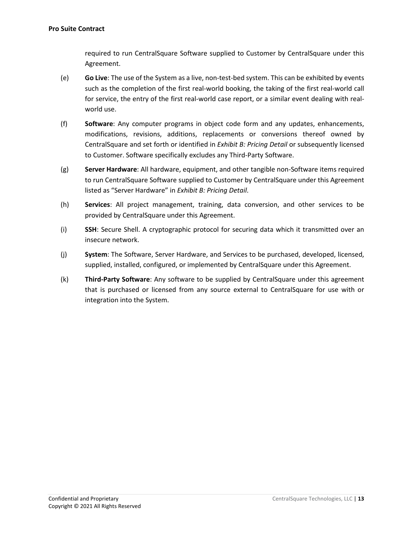required to run CentralSquare Software supplied to Customer by CentralSquare under this Agreement.

- (e) **Go Live**: The use of the System as a live, non-test-bed system. This can be exhibited by events such as the completion of the first real-world booking, the taking of the first real-world call for service, the entry of the first real-world case report, or a similar event dealing with realworld use.
- (f) **Software**: Any computer programs in object code form and any updates, enhancements, modifications, revisions, additions, replacements or conversions thereof owned by CentralSquare and set forth or identified in *Exhibit B: Pricing Detail* or subsequently licensed to Customer. Software specifically excludes any Third-Party Software.
- (g) **Server Hardware**: All hardware, equipment, and other tangible non-Software items required to run CentralSquare Software supplied to Customer by CentralSquare under this Agreement listed as "Server Hardware" in *Exhibit B: Pricing Detail*.
- (h) **Services**: All project management, training, data conversion, and other services to be provided by CentralSquare under this Agreement.
- (i) **SSH**: Secure Shell. A cryptographic protocol for securing data which it transmitted over an insecure network.
- (j) **System**: The Software, Server Hardware, and Services to be purchased, developed, licensed, supplied, installed, configured, or implemented by CentralSquare under this Agreement.
- (k) **Third-Party Software**: Any software to be supplied by CentralSquare under this agreement that is purchased or licensed from any source external to CentralSquare for use with or integration into the System.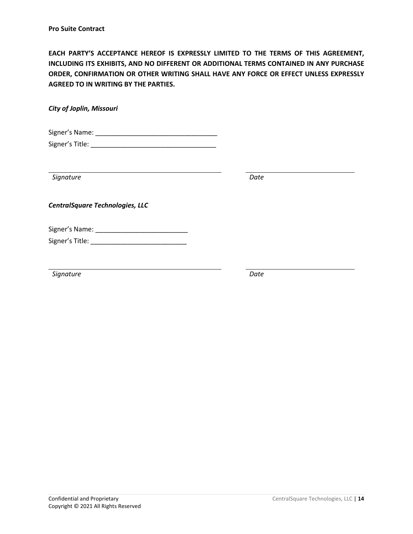**EACH PARTY'S ACCEPTANCE HEREOF IS EXPRESSLY LIMITED TO THE TERMS OF THIS AGREEMENT, INCLUDING ITS EXHIBITS, AND NO DIFFERENT OR ADDITIONAL TERMS CONTAINED IN ANY PURCHASE ORDER, CONFIRMATION OR OTHER WRITING SHALL HAVE ANY FORCE OR EFFECT UNLESS EXPRESSLY AGREED TO IN WRITING BY THE PARTIES.**

*City of Joplin, Missouri*

Signer's Name: \_\_\_\_\_\_\_\_\_\_\_\_\_\_\_\_\_\_\_\_\_\_\_\_\_\_\_\_\_\_\_\_\_ Signer's Title: \_\_\_\_\_\_\_\_\_\_\_\_\_\_\_\_\_\_\_\_\_\_\_\_\_\_\_\_\_\_\_\_\_\_

| Signature                                | Date |  |
|------------------------------------------|------|--|
| <b>CentralSquare Technologies, LLC</b>   |      |  |
| Signer's Name: __<br>Signer's Title: ___ |      |  |
| Signature                                | Date |  |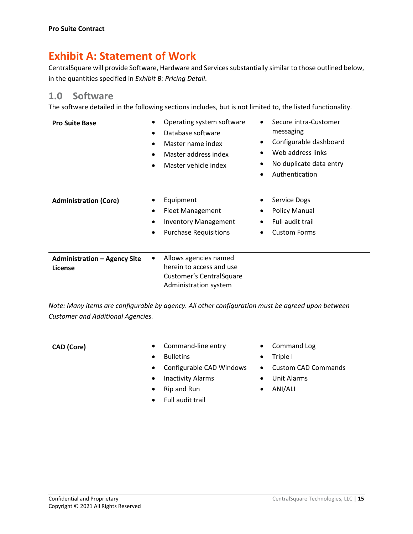## **Exhibit A: Statement of Work**

CentralSquare will provide Software, Hardware and Services substantially similar to those outlined below, in the quantities specified in *Exhibit B: Pricing Detail*.

## **1.0 Software**

The software detailed in the following sections includes, but is not limited to, the listed functionality.

| <b>Pro Suite Base</b>                          | ٠           | Operating system software<br>Database software<br>Master name index<br>Master address index<br>Master vehicle index | $\bullet$<br>$\bullet$<br>$\bullet$ | Secure intra-Customer<br>messaging<br>Configurable dashboard<br>Web address links<br>No duplicate data entry<br>Authentication |
|------------------------------------------------|-------------|---------------------------------------------------------------------------------------------------------------------|-------------------------------------|--------------------------------------------------------------------------------------------------------------------------------|
| <b>Administration (Core)</b>                   | ٠<br>٠<br>٠ | Equipment<br><b>Fleet Management</b><br><b>Inventory Management</b><br><b>Purchase Requisitions</b>                 | $\bullet$<br>$\bullet$              | Service Dogs<br><b>Policy Manual</b><br>Full audit trail<br><b>Custom Forms</b>                                                |
| <b>Administration - Agency Site</b><br>License | ٠           | Allows agencies named<br>herein to access and use<br>Customer's Central Square<br>Administration system             |                                     |                                                                                                                                |

*Note: Many items are configurable by agency. All other configuration must be agreed upon between Customer and Additional Agencies.*

| <b>CAD</b> (Core) | • Command-line entry                  | • Command Log                           |
|-------------------|---------------------------------------|-----------------------------------------|
|                   | <b>Bulletins</b><br>$\bullet$         | Triple I<br>$\bullet$                   |
|                   | Configurable CAD Windows<br>$\bullet$ | <b>Custom CAD Commands</b><br>$\bullet$ |
|                   | <b>Inactivity Alarms</b><br>$\bullet$ | Unit Alarms<br>$\bullet$                |
|                   | Rip and Run<br>$\bullet$              | ANI/ALI<br>$\bullet$                    |
|                   | Full audit trail<br>$\bullet$         |                                         |
|                   |                                       |                                         |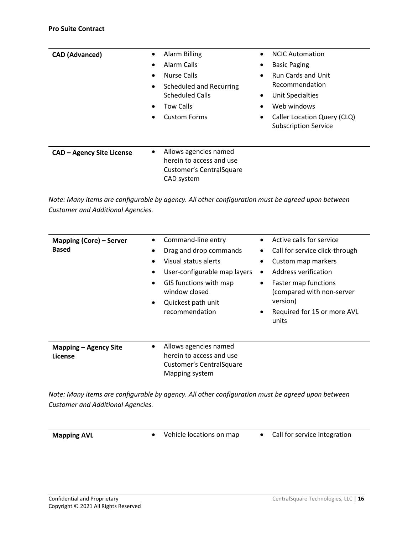| <b>CAD (Advanced)</b>            | Alarm Billing<br>$\bullet$<br>Alarm Calls<br>$\bullet$<br>Nurse Calls<br>$\bullet$<br>Scheduled and Recurring<br>$\bullet$<br><b>Scheduled Calls</b><br><b>Tow Calls</b><br>$\bullet$<br><b>Custom Forms</b><br>$\bullet$ | <b>NCIC Automation</b><br>$\bullet$<br><b>Basic Paging</b><br>$\bullet$<br><b>Run Cards and Unit</b><br>٠<br>Recommendation<br><b>Unit Specialties</b><br>$\bullet$<br>Web windows<br>٠<br>Caller Location Query (CLQ)<br>$\bullet$<br><b>Subscription Service</b> |
|----------------------------------|---------------------------------------------------------------------------------------------------------------------------------------------------------------------------------------------------------------------------|--------------------------------------------------------------------------------------------------------------------------------------------------------------------------------------------------------------------------------------------------------------------|
| <b>CAD - Agency Site License</b> | Allows agencies named<br>$\bullet$<br>herein to access and use<br><b>Customer's CentralSquare</b><br>CAD system                                                                                                           |                                                                                                                                                                                                                                                                    |

*Note: Many items are configurable by agency. All other configuration must be agreed upon between Customer and Additional Agencies.*

| <b>Mapping (Core) – Server</b><br><b>Based</b> | Command-line entry<br>Drag and drop commands<br>$\bullet$<br>Visual status alerts<br>٠<br>User-configurable map layers<br>٠<br>GIS functions with map<br>$\bullet$<br>window closed<br>Quickest path unit<br>$\bullet$<br>recommendation | Active calls for service<br>Call for service click-through<br>$\bullet$<br>Custom map markers<br>Address verification<br>$\bullet$<br>Faster map functions<br>$\bullet$<br>(compared with non-server<br>version)<br>Required for 15 or more AVL<br>$\bullet$<br>units |
|------------------------------------------------|------------------------------------------------------------------------------------------------------------------------------------------------------------------------------------------------------------------------------------------|-----------------------------------------------------------------------------------------------------------------------------------------------------------------------------------------------------------------------------------------------------------------------|
| <b>Mapping - Agency Site</b><br>License        | Allows agencies named<br>herein to access and use<br><b>Customer's CentralSquare</b><br>Mapping system                                                                                                                                   |                                                                                                                                                                                                                                                                       |

*Note: Many items are configurable by agency. All other configuration must be agreed upon between Customer and Additional Agencies.*

| <b>Mapping AVL</b> |  |
|--------------------|--|
|--------------------|--|

• Vehicle locations on map • Call for service integration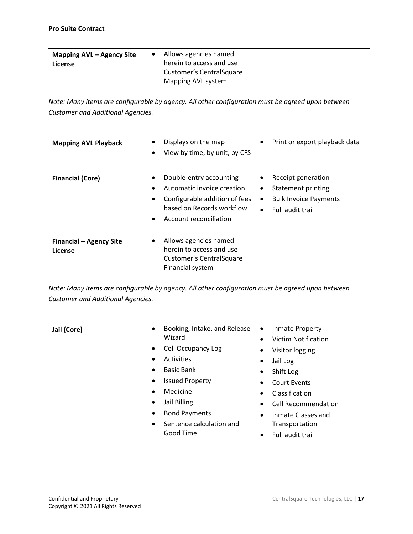| Mapping AVL – Agency Site<br>License | Allows agencies named<br>herein to access and use |
|--------------------------------------|---------------------------------------------------|
|                                      | Customer's Central Square<br>Mapping AVL system   |

*Note: Many items are configurable by agency. All other configuration must be agreed upon between Customer and Additional Agencies.*

| <b>Mapping AVL Playback</b>               | Displays on the map<br>Print or export playback data<br>$\bullet$<br>$\bullet$<br>View by time, by unit, by CFS<br>$\bullet$                                                                                                                                                                                                     |
|-------------------------------------------|----------------------------------------------------------------------------------------------------------------------------------------------------------------------------------------------------------------------------------------------------------------------------------------------------------------------------------|
| <b>Financial (Core)</b>                   | Double-entry accounting<br>Receipt generation<br>$\bullet$<br>Automatic invoice creation<br>Statement printing<br>٠<br>$\bullet$<br>Configurable addition of fees<br><b>Bulk Invoice Payments</b><br>$\bullet$<br>$\bullet$<br>based on Records workflow<br>Full audit trail<br>$\bullet$<br>Account reconciliation<br>$\bullet$ |
| <b>Financial - Agency Site</b><br>License | Allows agencies named<br>$\bullet$<br>herein to access and use<br><b>Customer's CentralSquare</b><br>Financial system                                                                                                                                                                                                            |

*Note: Many items are configurable by agency. All other configuration must be agreed upon between Customer and Additional Agencies.*

| Jail (Core) | Booking, Intake, and Release<br>$\bullet$<br>Wizard | Inmate Property<br>$\bullet$<br>Victim Notification |
|-------------|-----------------------------------------------------|-----------------------------------------------------|
|             | Cell Occupancy Log<br>$\bullet$                     | Visitor logging                                     |
|             | Activities<br>$\bullet$                             | Jail Log                                            |
|             | <b>Basic Bank</b><br>٠                              | Shift Log                                           |
|             | <b>Issued Property</b><br>٠                         | Court Events                                        |
|             | Medicine<br>$\bullet$                               | Classification                                      |
|             | Jail Billing<br>$\bullet$                           | <b>Cell Recommendation</b>                          |
|             | <b>Bond Payments</b><br>٠                           | Inmate Classes and<br>$\bullet$                     |
|             | Sentence calculation and<br>$\bullet$               | Transportation                                      |
|             | Good Time                                           | Full audit trail                                    |
|             |                                                     |                                                     |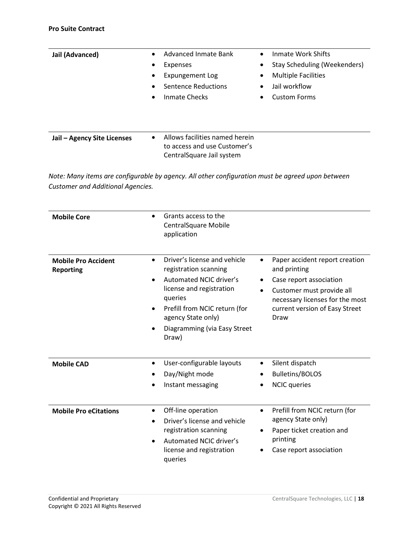| Jail (Advanced)                          | $\bullet$<br>$\bullet$<br>$\bullet$ | Advanced Inmate Bank<br>Expenses<br><b>Expungement Log</b><br>Sentence Reductions<br>Inmate Checks | $\bullet$<br>$\bullet$<br>$\bullet$ | Inmate Work Shifts<br><b>Stay Scheduling (Weekenders)</b><br><b>Multiple Facilities</b><br>Jail workflow<br><b>Custom Forms</b> |
|------------------------------------------|-------------------------------------|----------------------------------------------------------------------------------------------------|-------------------------------------|---------------------------------------------------------------------------------------------------------------------------------|
| Jail - Agency Site Licenses              |                                     | Allows facilities named herein<br>to access and use Customer's<br>Central Square Jail system       |                                     |                                                                                                                                 |
| <b>Customer and Additional Agencies.</b> |                                     | Note: Many items are configurable by agency. All other configuration must be agreed upon between   |                                     |                                                                                                                                 |

| <b>Mobile Core</b>                             | Grants access to the<br><b>CentralSquare Mobile</b><br>application                                                                                                                                                                                       |                                                                                                                                                                                                               |
|------------------------------------------------|----------------------------------------------------------------------------------------------------------------------------------------------------------------------------------------------------------------------------------------------------------|---------------------------------------------------------------------------------------------------------------------------------------------------------------------------------------------------------------|
| <b>Mobile Pro Accident</b><br><b>Reporting</b> | Driver's license and vehicle<br>$\bullet$<br>registration scanning<br><b>Automated NCIC driver's</b><br>license and registration<br>queries<br>Prefill from NCIC return (for<br>$\bullet$<br>agency State only)<br>Diagramming (via Easy Street<br>Draw) | Paper accident report creation<br>$\bullet$<br>and printing<br>Case report association<br>Customer must provide all<br>$\bullet$<br>necessary licenses for the most<br>current version of Easy Street<br>Draw |
| <b>Mobile CAD</b>                              | User-configurable layouts<br>$\bullet$<br>Day/Night mode<br>Instant messaging                                                                                                                                                                            | Silent dispatch<br><b>Bulletins/BOLOS</b><br><b>NCIC</b> queries                                                                                                                                              |
| <b>Mobile Pro eCitations</b>                   | Off-line operation<br>$\bullet$<br>Driver's license and vehicle<br>registration scanning<br>Automated NCIC driver's<br>$\bullet$<br>license and registration<br>queries                                                                                  | Prefill from NCIC return (for<br>$\bullet$<br>agency State only)<br>Paper ticket creation and<br>٠<br>printing<br>Case report association                                                                     |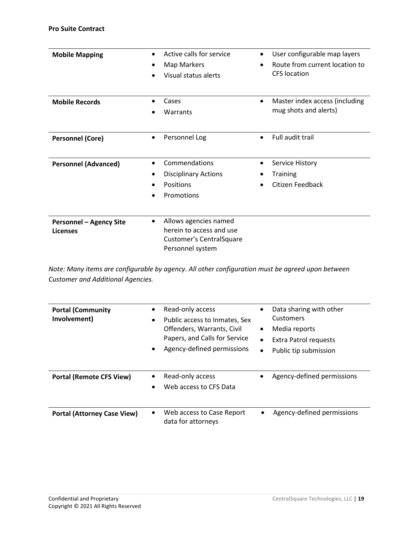| <b>Mobile Mapping</b>                             | Active calls for service<br>Map Markers<br>٠<br>Visual status alerts                              | User configurable map layers<br>Route from current location to<br>$\bullet$<br><b>CFS</b> location |
|---------------------------------------------------|---------------------------------------------------------------------------------------------------|----------------------------------------------------------------------------------------------------|
| <b>Mobile Records</b>                             | Cases<br>Warrants                                                                                 | Master index access (including<br>mug shots and alerts)                                            |
| <b>Personnel (Core)</b>                           | Personnel Log<br>$\bullet$                                                                        | Full audit trail<br>$\bullet$                                                                      |
| <b>Personnel (Advanced)</b>                       | Commendations<br>$\bullet$<br><b>Disciplinary Actions</b><br>Positions<br>Promotions              | Service History<br>٠<br><b>Training</b><br>Citizen Feedback                                        |
| <b>Personnel - Agency Site</b><br><b>Licenses</b> | Allows agencies named<br>herein to access and use<br>Customer's CentralSquare<br>Personnel system |                                                                                                    |

*Note: Many items are configurable by agency. All other configuration must be agreed upon between Customer and Additional Agencies.*

| <b>Portal (Community</b><br>Involvement) | ٠<br>$\bullet$<br>$\bullet$ | Read-only access<br>Public access to Inmates, Sex<br>Offenders, Warrants, Civil<br>Papers, and Calls for Service<br>Agency-defined permissions | $\bullet$<br>$\bullet$<br>$\bullet$<br>$\bullet$ | Data sharing with other<br>Customers<br>Media reports<br>Extra Patrol requests<br>Public tip submission |
|------------------------------------------|-----------------------------|------------------------------------------------------------------------------------------------------------------------------------------------|--------------------------------------------------|---------------------------------------------------------------------------------------------------------|
| <b>Portal (Remote CFS View)</b>          | ٠<br>$\bullet$              | Read-only access<br>Web access to CFS Data                                                                                                     | $\bullet$                                        | Agency-defined permissions                                                                              |
| <b>Portal (Attorney Case View)</b>       | $\bullet$                   | Web access to Case Report<br>data for attorneys                                                                                                |                                                  | Agency-defined permissions                                                                              |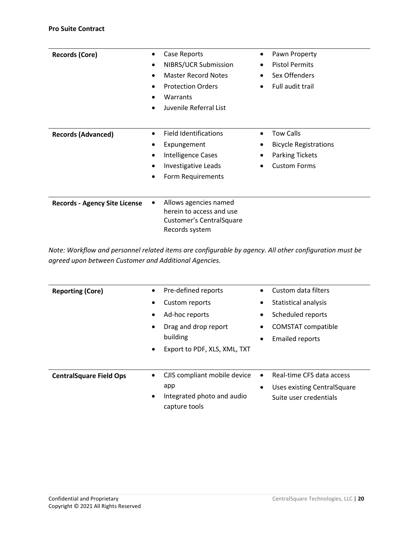| <b>Records (Core)</b>                | $\bullet$ | Case Reports                                                                                     | $\bullet$ | Pawn Property                |
|--------------------------------------|-----------|--------------------------------------------------------------------------------------------------|-----------|------------------------------|
|                                      | $\bullet$ | NIBRS/UCR Submission                                                                             |           | <b>Pistol Permits</b>        |
|                                      |           | <b>Master Record Notes</b>                                                                       |           | Sex Offenders                |
|                                      | $\bullet$ | <b>Protection Orders</b>                                                                         |           | Full audit trail             |
|                                      |           | Warrants                                                                                         |           |                              |
|                                      | $\bullet$ | Juvenile Referral List                                                                           |           |                              |
|                                      |           |                                                                                                  |           |                              |
| <b>Records (Advanced)</b>            | $\bullet$ | <b>Field Identifications</b>                                                                     |           | <b>Tow Calls</b>             |
|                                      |           | Expungement                                                                                      | ٠         | <b>Bicycle Registrations</b> |
|                                      | $\bullet$ | Intelligence Cases                                                                               |           | <b>Parking Tickets</b>       |
|                                      | $\bullet$ | Investigative Leads                                                                              |           | <b>Custom Forms</b>          |
|                                      |           | Form Requirements                                                                                |           |                              |
|                                      |           |                                                                                                  |           |                              |
| <b>Records - Agency Site License</b> | ٠         | Allows agencies named<br>herein to access and use<br>Customer's Central Square<br>Records system |           |                              |
|                                      |           |                                                                                                  |           |                              |

*Note: Workflow and personnel related items are configurable by agency. All other configuration must be agreed upon between Customer and Additional Agencies.*

| <b>Reporting (Core)</b>        | $\bullet$                   | Pre-defined reports                         | ٠         | Custom data filters                |
|--------------------------------|-----------------------------|---------------------------------------------|-----------|------------------------------------|
|                                | $\bullet$                   | Custom reports                              | ٠         | Statistical analysis               |
|                                | Ad-hoc reports<br>$\bullet$ |                                             | ٠         | Scheduled reports                  |
|                                | $\bullet$                   | Drag and drop report                        | ٠         | <b>COMSTAT compatible</b>          |
|                                |                             | building                                    | ٠         | <b>Emailed reports</b>             |
|                                | $\bullet$                   | Export to PDF, XLS, XML, TXT                |           |                                    |
|                                |                             |                                             |           |                                    |
| <b>CentralSquare Field Ops</b> | ٠                           | CJIS compliant mobile device                | $\bullet$ | Real-time CFS data access          |
|                                |                             | app                                         | $\bullet$ | <b>Uses existing CentralSquare</b> |
|                                | ٠                           | Integrated photo and audio<br>capture tools |           | Suite user credentials             |
|                                |                             |                                             |           |                                    |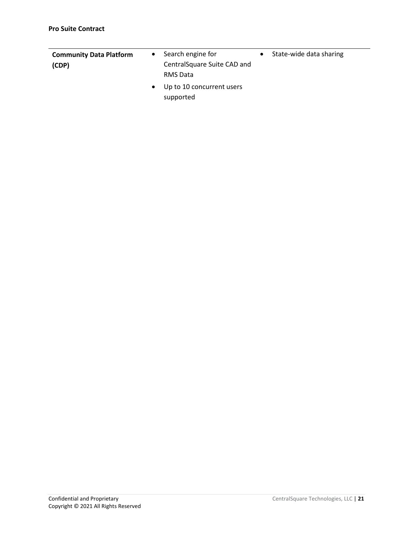|                                         | $\bullet$ | Search engine for                        | State-wide data sharing |
|-----------------------------------------|-----------|------------------------------------------|-------------------------|
| <b>Community Data Platform</b><br>(CDP) |           | Central Square Suite CAD and<br>RMS Data |                         |
|                                         | $\bullet$ | Up to 10 concurrent users<br>supported   |                         |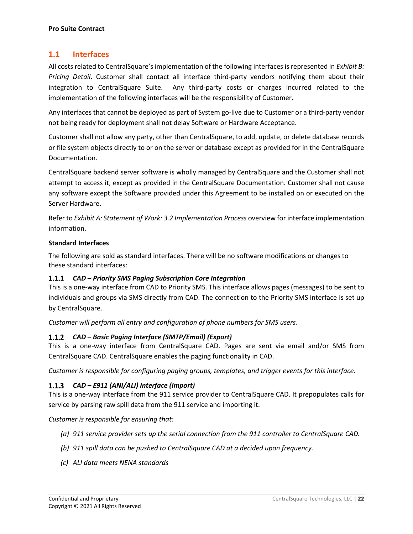#### **1.1 Interfaces**

All costs related to CentralSquare's implementation of the following interfaces is represented in *Exhibit B: Pricing Detail*. Customer shall contact all interface third-party vendors notifying them about their integration to CentralSquare Suite. Any third-party costs or charges incurred related to the implementation of the following interfaces will be the responsibility of Customer.

Any interfaces that cannot be deployed as part of System go-live due to Customer or a third-party vendor not being ready for deployment shall not delay Software or Hardware Acceptance.

Customer shall not allow any party, other than CentralSquare, to add, update, or delete database records or file system objects directly to or on the server or database except as provided for in the CentralSquare Documentation.

CentralSquare backend server software is wholly managed by CentralSquare and the Customer shall not attempt to access it, except as provided in the CentralSquare Documentation. Customer shall not cause any software except the Software provided under this Agreement to be installed on or executed on the Server Hardware.

Refer to *Exhibit A: Statement of Work: 3.2 Implementation Process* overview for interface implementation information.

#### **Standard Interfaces**

The following are sold as standard interfaces. There will be no software modifications or changes to these standard interfaces:

#### *CAD – Priority SMS Paging Subscription Core Integration*

This is a one-way interface from CAD to Priority SMS. This interface allows pages (messages) to be sent to individuals and groups via SMS directly from CAD. The connection to the Priority SMS interface is set up by CentralSquare.

*Customer will perform all entry and configuration of phone numbers for SMS users.*

#### *CAD – Basic Paging Interface (SMTP/Email) (Export)*

This is a one-way interface from CentralSquare CAD. Pages are sent via email and/or SMS from CentralSquare CAD. CentralSquare enables the paging functionality in CAD.

*Customer is responsible for configuring paging groups, templates, and trigger events for this interface.*

#### *CAD – E911 (ANI/ALI) Interface (Import)*

This is a one-way interface from the 911 service provider to CentralSquare CAD. It prepopulates calls for service by parsing raw spill data from the 911 service and importing it.

*Customer is responsible for ensuring that:*

- *(a) 911 service provider sets up the serial connection from the 911 controller to CentralSquare CAD.*
- *(b) 911 spill data can be pushed to CentralSquare CAD at a decided upon frequency.*
- *(c) ALI data meets NENA standards*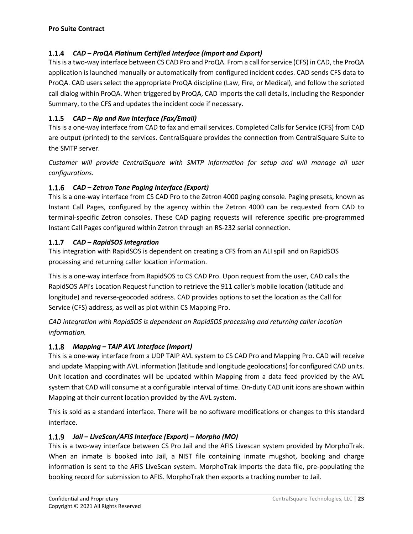#### *CAD – ProQA Platinum Certified Interface (Import and Export)*

This is a two-way interface between CS CAD Pro and ProQA. From a call for service (CFS) in CAD, the ProQA application is launched manually or automatically from configured incident codes. CAD sends CFS data to ProQA. CAD users select the appropriate ProQA discipline (Law, Fire, or Medical), and follow the scripted call dialog within ProQA. When triggered by ProQA, CAD imports the call details, including the Responder Summary, to the CFS and updates the incident code if necessary.

#### *CAD – Rip and Run Interface (Fax/Email)*

This is a one-way interface from CAD to fax and email services. Completed Calls for Service (CFS) from CAD are output (printed) to the services. CentralSquare provides the connection from CentralSquare Suite to the SMTP server.

*Customer will provide CentralSquare with SMTP information for setup and will manage all user configurations.*

#### *CAD – Zetron Tone Paging Interface (Export)*

This is a one-way interface from CS CAD Pro to the Zetron 4000 paging console. Paging presets, known as Instant Call Pages, configured by the agency within the Zetron 4000 can be requested from CAD to terminal-specific Zetron consoles. These CAD paging requests will reference specific pre-programmed Instant Call Pages configured within Zetron through an RS-232 serial connection.

#### *CAD – RapidSOS Integration*

This integration with RapidSOS is dependent on creating a CFS from an ALI spill and on RapidSOS processing and returning caller location information.

This is a one-way interface from RapidSOS to CS CAD Pro. Upon request from the user, CAD calls the RapidSOS API's Location Request function to retrieve the 911 caller's mobile location (latitude and longitude) and reverse-geocoded address. CAD provides options to set the location as the Call for Service (CFS) address, as well as plot within CS Mapping Pro.

*CAD integration with RapidSOS is dependent on RapidSOS processing and returning caller location information.*

#### *Mapping – TAIP AVL Interface (Import)*

This is a one-way interface from a UDP TAIP AVL system to CS CAD Pro and Mapping Pro. CAD will receive and update Mapping with AVL information (latitude and longitude geolocations) for configured CAD units. Unit location and coordinates will be updated within Mapping from a data feed provided by the AVL system that CAD will consume at a configurable interval of time. On-duty CAD unit icons are shown within Mapping at their current location provided by the AVL system.

This is sold as a standard interface. There will be no software modifications or changes to this standard interface.

#### *Jail – LiveScan/AFIS Interface (Export) – Morpho (MO)*

This is a two-way interface between CS Pro Jail and the AFIS Livescan system provided by MorphoTrak. When an inmate is booked into Jail, a NIST file containing inmate mugshot, booking and charge information is sent to the AFIS LiveScan system. MorphoTrak imports the data file, pre-populating the booking record for submission to AFIS. MorphoTrak then exports a tracking number to Jail.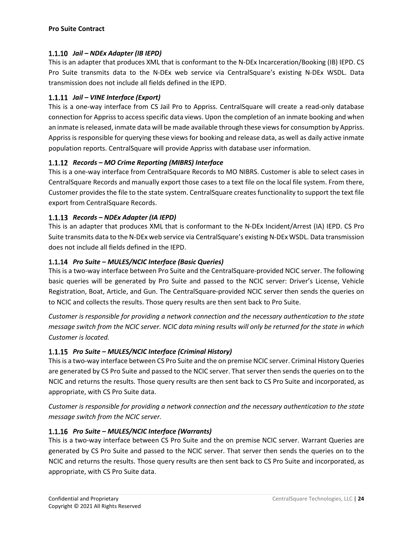#### *Jail – NDEx Adapter (IB IEPD)*

This is an adapter that produces XML that is conformant to the N-DEx Incarceration/Booking (IB) IEPD. CS Pro Suite transmits data to the N-DEx web service via CentralSquare's existing N-DEx WSDL. Data transmission does not include all fields defined in the IEPD.

#### *Jail – VINE Interface (Export)*

This is a one-way interface from CS Jail Pro to Appriss. CentralSquare will create a read-only database connection for Appriss to access specific data views. Upon the completion of an inmate booking and when an inmate is released, inmate data will be made available through these views for consumption by Appriss. Appriss is responsible for querying these views for booking and release data, as well as daily active inmate population reports. CentralSquare will provide Appriss with database user information.

#### *Records – MO Crime Reporting (MIBRS) Interface*

This is a one-way interface from CentralSquare Records to MO NIBRS. Customer is able to select cases in CentralSquare Records and manually export those cases to a text file on the local file system. From there, Customer provides the file to the state system. CentralSquare creates functionality to support the text file export from CentralSquare Records.

#### *Records – NDEx Adapter (IA IEPD)*

This is an adapter that produces XML that is conformant to the N-DEx Incident/Arrest (IA) IEPD. CS Pro Suite transmits data to the N-DEx web service via CentralSquare's existing N-DEx WSDL. Data transmission does not include all fields defined in the IEPD.

#### *Pro Suite – MULES/NCIC Interface (Basic Queries)*

This is a two-way interface between Pro Suite and the CentralSquare-provided NCIC server. The following basic queries will be generated by Pro Suite and passed to the NCIC server: Driver's License, Vehicle Registration, Boat, Article, and Gun. The CentralSquare-provided NCIC server then sends the queries on to NCIC and collects the results. Those query results are then sent back to Pro Suite.

*Customer is responsible for providing a network connection and the necessary authentication to the state message switch from the NCIC server. NCIC data mining results will only be returned for the state in which Customer is located.*

#### *Pro Suite – MULES/NCIC Interface (Criminal History)*

This is a two-way interface between CS Pro Suite and the on premise NCIC server. Criminal History Queries are generated by CS Pro Suite and passed to the NCIC server. That server then sends the queries on to the NCIC and returns the results. Those query results are then sent back to CS Pro Suite and incorporated, as appropriate, with CS Pro Suite data.

*Customer is responsible for providing a network connection and the necessary authentication to the state message switch from the NCIC server.*

#### *Pro Suite – MULES/NCIC Interface (Warrants)*

This is a two-way interface between CS Pro Suite and the on premise NCIC server. Warrant Queries are generated by CS Pro Suite and passed to the NCIC server. That server then sends the queries on to the NCIC and returns the results. Those query results are then sent back to CS Pro Suite and incorporated, as appropriate, with CS Pro Suite data.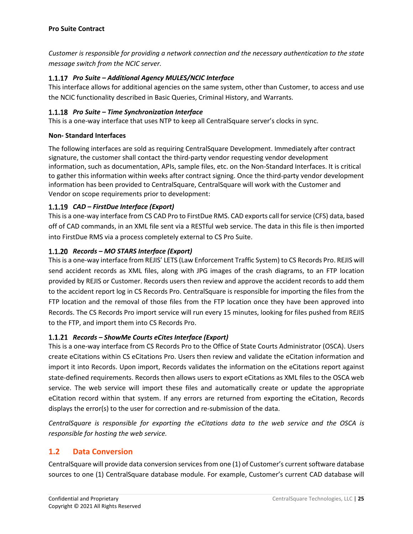*Customer is responsible for providing a network connection and the necessary authentication to the state message switch from the NCIC server.*

#### *Pro Suite – Additional Agency MULES/NCIC Interface*

This interface allows for additional agencies on the same system, other than Customer, to access and use the NCIC functionality described in Basic Queries, Criminal History, and Warrants.

#### *Pro Suite – Time Synchronization Interface*

This is a one-way interface that uses NTP to keep all CentralSquare server's clocks in sync.

#### **Non- Standard Interfaces**

The following interfaces are sold as requiring CentralSquare Development. Immediately after contract signature, the customer shall contact the third-party vendor requesting vendor development information, such as documentation, APIs, sample files, etc. on the Non-Standard Interfaces. It is critical to gather this information within weeks after contract signing. Once the third-party vendor development information has been provided to CentralSquare, CentralSquare will work with the Customer and Vendor on scope requirements prior to development:

#### *CAD – FirstDue Interface (Export)*

This is a one-way interface from CS CAD Pro to FirstDue RMS. CAD exports call for service (CFS) data, based off of CAD commands, in an XML file sent via a RESTful web service. The data in this file is then imported into FirstDue RMS via a process completely external to CS Pro Suite.

#### *Records – MO STARS Interface (Export)*

This is a one-way interface from REJIS' LETS (Law Enforcement Traffic System) to CS Records Pro. REJIS will send accident records as XML files, along with JPG images of the crash diagrams, to an FTP location provided by REJIS or Customer. Records users then review and approve the accident records to add them to the accident report log in CS Records Pro. CentralSquare is responsible for importing the files from the FTP location and the removal of those files from the FTP location once they have been approved into Records. The CS Records Pro import service will run every 15 minutes, looking for files pushed from REJIS to the FTP, and import them into CS Records Pro.

#### *Records – ShowMe Courts eCites Interface (Export)*

This is a one-way interface from CS Records Pro to the Office of State Courts Administrator (OSCA). Users create eCitations within CS eCitations Pro. Users then review and validate the eCitation information and import it into Records. Upon import, Records validates the information on the eCitations report against state-defined requirements. Records then allows users to export eCitations as XML files to the OSCA web service. The web service will import these files and automatically create or update the appropriate eCitation record within that system. If any errors are returned from exporting the eCitation, Records displays the error(s) to the user for correction and re-submission of the data.

*CentralSquare is responsible for exporting the eCitations data to the web service and the OSCA is responsible for hosting the web service.*

#### **1.2 Data Conversion**

CentralSquare will provide data conversion services from one (1) of Customer's current software database sources to one (1) CentralSquare database module. For example, Customer's current CAD database will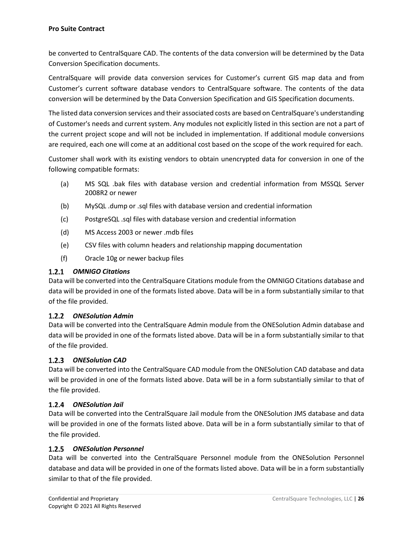be converted to CentralSquare CAD. The contents of the data conversion will be determined by the Data Conversion Specification documents.

CentralSquare will provide data conversion services for Customer's current GIS map data and from Customer's current software database vendors to CentralSquare software. The contents of the data conversion will be determined by the Data Conversion Specification and GIS Specification documents.

The listed data conversion services and their associated costs are based on CentralSquare's understanding of Customer's needs and current system. Any modules not explicitly listed in this section are not a part of the current project scope and will not be included in implementation. If additional module conversions are required, each one will come at an additional cost based on the scope of the work required for each.

Customer shall work with its existing vendors to obtain unencrypted data for conversion in one of the following compatible formats:

- (a) MS SQL .bak files with database version and credential information from MSSQL Server 2008R2 or newer
- (b) MySQL .dump or .sql files with database version and credential information
- (c) PostgreSQL .sql files with database version and credential information
- (d) MS Access 2003 or newer .mdb files
- (e) CSV files with column headers and relationship mapping documentation
- (f) Oracle 10g or newer backup files

#### *OMNIGO Citations*

Data will be converted into the CentralSquare Citations module from the OMNIGO Citations database and data will be provided in one of the formats listed above. Data will be in a form substantially similar to that of the file provided.

#### *ONESolution Admin*

Data will be converted into the CentralSquare Admin module from the ONESolution Admin database and data will be provided in one of the formats listed above. Data will be in a form substantially similar to that of the file provided.

#### *ONESolution CAD*

Data will be converted into the CentralSquare CAD module from the ONESolution CAD database and data will be provided in one of the formats listed above. Data will be in a form substantially similar to that of the file provided.

#### *ONESolution Jail*

Data will be converted into the CentralSquare Jail module from the ONESolution JMS database and data will be provided in one of the formats listed above. Data will be in a form substantially similar to that of the file provided.

#### *ONESolution Personnel*

Data will be converted into the CentralSquare Personnel module from the ONESolution Personnel database and data will be provided in one of the formats listed above. Data will be in a form substantially similar to that of the file provided.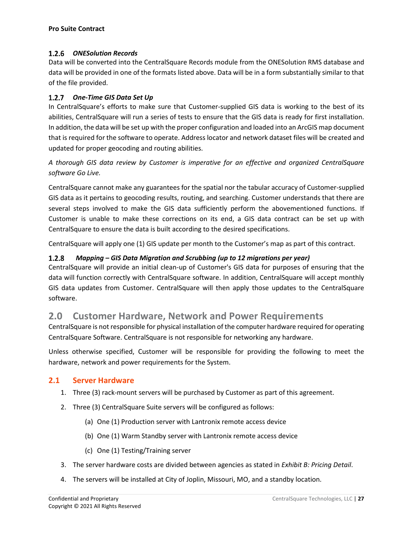#### *ONESolution Records*

Data will be converted into the CentralSquare Records module from the ONESolution RMS database and data will be provided in one of the formats listed above. Data will be in a form substantially similar to that of the file provided.

#### *One-Time GIS Data Set Up*

In CentralSquare's efforts to make sure that Customer-supplied GIS data is working to the best of its abilities, CentralSquare will run a series of tests to ensure that the GIS data is ready for first installation. In addition, the data will be set up with the proper configuration and loaded into an ArcGIS map document that is required for the software to operate. Address locator and network dataset files will be created and updated for proper geocoding and routing abilities.

*A thorough GIS data review by Customer is imperative for an effective and organized CentralSquare software Go Live.*

CentralSquare cannot make any guarantees for the spatial nor the tabular accuracy of Customer-supplied GIS data as it pertains to geocoding results, routing, and searching. Customer understands that there are several steps involved to make the GIS data sufficiently perform the abovementioned functions. If Customer is unable to make these corrections on its end, a GIS data contract can be set up with CentralSquare to ensure the data is built according to the desired specifications.

CentralSquare will apply one (1) GIS update per month to the Customer's map as part of this contract.

#### $1.2.8$ *Mapping – GIS Data Migration and Scrubbing (up to 12 migrations per year)*

CentralSquare will provide an initial clean-up of Customer's GIS data for purposes of ensuring that the data will function correctly with CentralSquare software. In addition, CentralSquare will accept monthly GIS data updates from Customer. CentralSquare will then apply those updates to the CentralSquare software.

## **2.0 Customer Hardware, Network and Power Requirements**

CentralSquare is not responsible for physical installation of the computer hardware required for operating CentralSquare Software. CentralSquare is not responsible for networking any hardware.

Unless otherwise specified, Customer will be responsible for providing the following to meet the hardware, network and power requirements for the System.

#### **2.1 Server Hardware**

- 1. Three (3) rack-mount servers will be purchased by Customer as part of this agreement.
- 2. Three (3) CentralSquare Suite servers will be configured as follows:
	- (a) One (1) Production server with Lantronix remote access device
	- (b) One (1) Warm Standby server with Lantronix remote access device
	- (c) One (1) Testing/Training server
- 3. The server hardware costs are divided between agencies as stated in *Exhibit B: Pricing Detail*.
- 4. The servers will be installed at City of Joplin, Missouri, MO, and a standby location.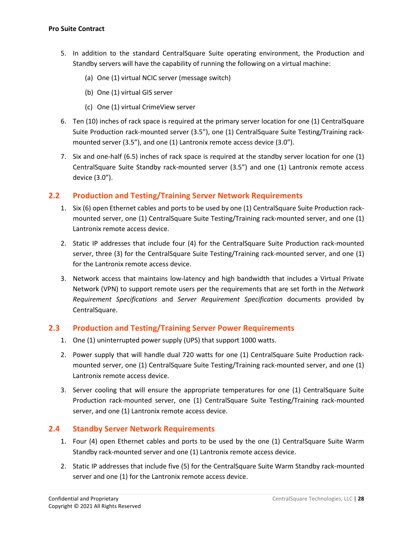- 5. In addition to the standard CentralSquare Suite operating environment, the Production and Standby servers will have the capability of running the following on a virtual machine:
	- (a) One (1) virtual NCIC server (message switch)
	- (b) One (1) virtual GIS server
	- (c) One (1) virtual CrimeView server
- 6. Ten (10) inches of rack space is required at the primary server location for one (1) CentralSquare Suite Production rack-mounted server (3.5"), one (1) CentralSquare Suite Testing/Training rackmounted server (3.5"), and one (1) Lantronix remote access device (3.0").
- 7. Six and one-half (6.5) inches of rack space is required at the standby server location for one (1) CentralSquare Suite Standby rack-mounted server (3.5") and one (1) Lantronix remote access device (3.0").

#### **2.2 Production and Testing/Training Server Network Requirements**

- 1. Six (6) open Ethernet cables and ports to be used by one (1) CentralSquare Suite Production rackmounted server, one (1) CentralSquare Suite Testing/Training rack-mounted server, and one (1) Lantronix remote access device.
- 2. Static IP addresses that include four (4) for the CentralSquare Suite Production rack-mounted server, three (3) for the CentralSquare Suite Testing/Training rack-mounted server, and one (1) for the Lantronix remote access device.
- 3. Network access that maintains low-latency and high bandwidth that includes a Virtual Private Network (VPN) to support remote users per the requirements that are set forth in the *Network Requirement Specifications* and *Server Requirement Specification* documents provided by CentralSquare.

#### **2.3 Production and Testing/Training Server Power Requirements**

- 1. One (1) uninterrupted power supply (UPS) that support 1000 watts.
- 2. Power supply that will handle dual 720 watts for one (1) CentralSquare Suite Production rackmounted server, one (1) CentralSquare Suite Testing/Training rack-mounted server, and one (1) Lantronix remote access device.
- 3. Server cooling that will ensure the appropriate temperatures for one (1) CentralSquare Suite Production rack-mounted server, one (1) CentralSquare Suite Testing/Training rack-mounted server, and one (1) Lantronix remote access device.

#### **2.4 Standby Server Network Requirements**

- 1. Four (4) open Ethernet cables and ports to be used by the one (1) CentralSquare Suite Warm Standby rack-mounted server and one (1) Lantronix remote access device.
- 2. Static IP addresses that include five (5) for the CentralSquare Suite Warm Standby rack-mounted server and one (1) for the Lantronix remote access device.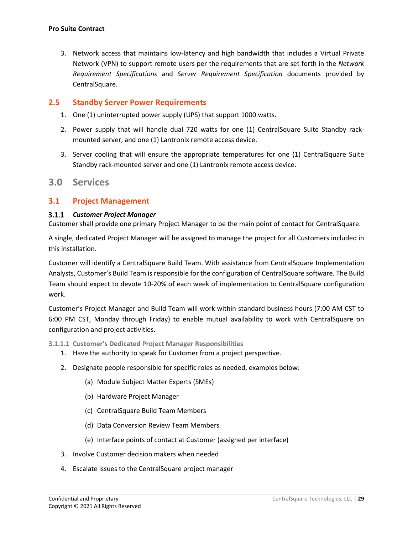3. Network access that maintains low-latency and high bandwidth that includes a Virtual Private Network (VPN) to support remote users per the requirements that are set forth in the *Network Requirement Specifications* and *Server Requirement Specification* documents provided by CentralSquare.

#### **2.5 Standby Server Power Requirements**

- 1. One (1) uninterrupted power supply (UPS) that support 1000 watts.
- 2. Power supply that will handle dual 720 watts for one (1) CentralSquare Suite Standby rackmounted server, and one (1) Lantronix remote access device.
- 3. Server cooling that will ensure the appropriate temperatures for one (1) CentralSquare Suite Standby rack-mounted server and one (1) Lantronix remote access device.

#### **3.0 Services**

#### **3.1 Project Management**

#### *Customer Project Manager*

Customer shall provide one primary Project Manager to be the main point of contact for CentralSquare.

A single, dedicated Project Manager will be assigned to manage the project for all Customers included in this installation.

Customer will identify a CentralSquare Build Team. With assistance from CentralSquare Implementation Analysts, Customer's Build Team is responsible for the configuration of CentralSquare software. The Build Team should expect to devote 10-20% of each week of implementation to CentralSquare configuration work.

Customer's Project Manager and Build Team will work within standard business hours (7:00 AM CST to 6:00 PM CST, Monday through Friday) to enable mutual availability to work with CentralSquare on configuration and project activities.

#### **3.1.1.1 Customer's Dedicated Project Manager Responsibilities**

- 1. Have the authority to speak for Customer from a project perspective.
- 2. Designate people responsible for specific roles as needed, examples below:
	- (a) Module Subject Matter Experts (SMEs)
	- (b) Hardware Project Manager
	- (c) CentralSquare Build Team Members
	- (d) Data Conversion Review Team Members
	- (e) Interface points of contact at Customer (assigned per interface)
- 3. Involve Customer decision makers when needed
- 4. Escalate issues to the CentralSquare project manager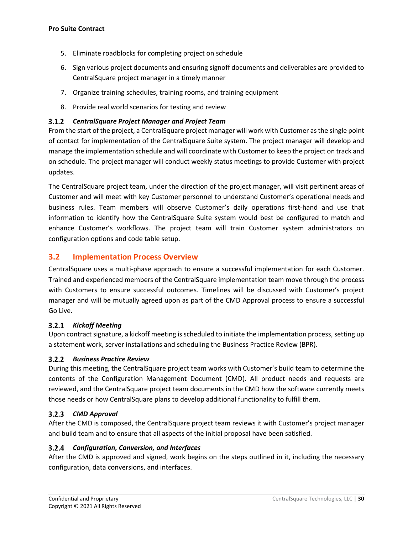- 5. Eliminate roadblocks for completing project on schedule
- 6. Sign various project documents and ensuring signoff documents and deliverables are provided to CentralSquare project manager in a timely manner
- 7. Organize training schedules, training rooms, and training equipment
- 8. Provide real world scenarios for testing and review

#### *CentralSquare Project Manager and Project Team*

From the start of the project, a CentralSquare project manager will work with Customer as the single point of contact for implementation of the CentralSquare Suite system. The project manager will develop and manage the implementation schedule and will coordinate with Customer to keep the project on track and on schedule. The project manager will conduct weekly status meetings to provide Customer with project updates.

The CentralSquare project team, under the direction of the project manager, will visit pertinent areas of Customer and will meet with key Customer personnel to understand Customer's operational needs and business rules. Team members will observe Customer's daily operations first-hand and use that information to identify how the CentralSquare Suite system would best be configured to match and enhance Customer's workflows. The project team will train Customer system administrators on configuration options and code table setup.

#### **3.2 Implementation Process Overview**

CentralSquare uses a multi-phase approach to ensure a successful implementation for each Customer. Trained and experienced members of the CentralSquare implementation team move through the process with Customers to ensure successful outcomes. Timelines will be discussed with Customer's project manager and will be mutually agreed upon as part of the CMD Approval process to ensure a successful Go Live.

#### *Kickoff Meeting*

Upon contract signature, a kickoff meeting is scheduled to initiate the implementation process, setting up a statement work, server installations and scheduling the Business Practice Review (BPR).

#### *Business Practice Review*

During this meeting, the CentralSquare project team works with Customer's build team to determine the contents of the Configuration Management Document (CMD). All product needs and requests are reviewed, and the CentralSquare project team documents in the CMD how the software currently meets those needs or how CentralSquare plans to develop additional functionality to fulfill them.

#### *CMD Approval*

After the CMD is composed, the CentralSquare project team reviews it with Customer's project manager and build team and to ensure that all aspects of the initial proposal have been satisfied.

#### *Configuration, Conversion, and Interfaces*

After the CMD is approved and signed, work begins on the steps outlined in it, including the necessary configuration, data conversions, and interfaces.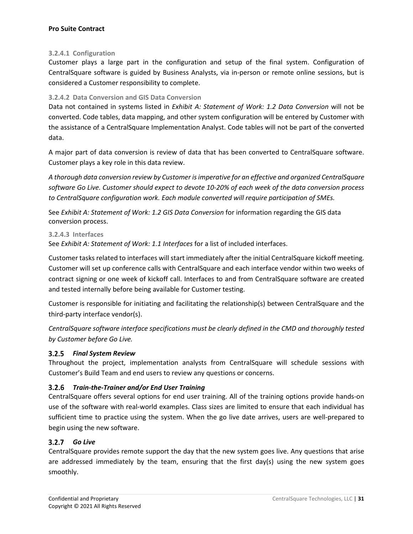#### **3.2.4.1 Configuration**

Customer plays a large part in the configuration and setup of the final system. Configuration of CentralSquare software is guided by Business Analysts, via in-person or remote online sessions, but is considered a Customer responsibility to complete.

#### **3.2.4.2 Data Conversion and GIS Data Conversion**

Data not contained in systems listed in *Exhibit A: Statement of Work: 1.2 Data Conversion* will not be converted. Code tables, data mapping, and other system configuration will be entered by Customer with the assistance of a CentralSquare Implementation Analyst. Code tables will not be part of the converted data.

A major part of data conversion is review of data that has been converted to CentralSquare software. Customer plays a key role in this data review.

*A thorough data conversion review by Customer is imperative for an effective and organized CentralSquare software Go Live. Customer should expect to devote 10-20% of each week of the data conversion process to CentralSquare configuration work. Each module converted will require participation of SMEs.*

See *Exhibit A: Statement of Work: 1.2 GIS Data Conversion* for information regarding the GIS data conversion process.

#### **3.2.4.3 Interfaces**

See *Exhibit A: Statement of Work: 1.1 Interfaces* for a list of included interfaces.

Customer tasks related to interfaces will start immediately after the initial CentralSquare kickoff meeting. Customer will set up conference calls with CentralSquare and each interface vendor within two weeks of contract signing or one week of kickoff call. Interfaces to and from CentralSquare software are created and tested internally before being available for Customer testing.

Customer is responsible for initiating and facilitating the relationship(s) between CentralSquare and the third-party interface vendor(s).

*CentralSquare software interface specifications must be clearly defined in the CMD and thoroughly tested by Customer before Go Live.*

#### *Final System Review*

Throughout the project, implementation analysts from CentralSquare will schedule sessions with Customer's Build Team and end users to review any questions or concerns.

#### *Train-the-Trainer and/or End User Training*

CentralSquare offers several options for end user training. All of the training options provide hands-on use of the software with real-world examples. Class sizes are limited to ensure that each individual has sufficient time to practice using the system. When the go live date arrives, users are well-prepared to begin using the new software.

#### *Go Live*

CentralSquare provides remote support the day that the new system goes live. Any questions that arise are addressed immediately by the team, ensuring that the first day(s) using the new system goes smoothly.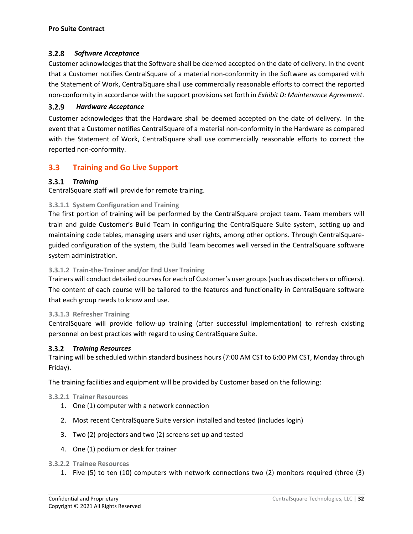#### $3.2.8$ *Software Acceptance*

Customer acknowledges that the Software shall be deemed accepted on the date of delivery. In the event that a Customer notifies CentralSquare of a material non-conformity in the Software as compared with the Statement of Work, CentralSquare shall use commercially reasonable efforts to correct the reported non-conformity in accordance with the support provisions set forth in *Exhibit D: Maintenance Agreement*.

#### $3.2.9$  *Hardware Acceptance*

Customer acknowledges that the Hardware shall be deemed accepted on the date of delivery. In the event that a Customer notifies CentralSquare of a material non-conformity in the Hardware as compared with the Statement of Work, CentralSquare shall use commercially reasonable efforts to correct the reported non-conformity.

#### **3.3 Training and Go Live Support**

#### *Training*

CentralSquare staff will provide for remote training.

#### **3.3.1.1 System Configuration and Training**

The first portion of training will be performed by the CentralSquare project team. Team members will train and guide Customer's Build Team in configuring the CentralSquare Suite system, setting up and maintaining code tables, managing users and user rights, among other options. Through CentralSquareguided configuration of the system, the Build Team becomes well versed in the CentralSquare software system administration.

#### **3.3.1.2 Train-the-Trainer and/or End User Training**

Trainers will conduct detailed courses for each of Customer's user groups (such as dispatchers or officers). The content of each course will be tailored to the features and functionality in CentralSquare software that each group needs to know and use.

#### **3.3.1.3 Refresher Training**

CentralSquare will provide follow-up training (after successful implementation) to refresh existing personnel on best practices with regard to using CentralSquare Suite.

#### *Training Resources*

Training will be scheduled within standard business hours (7:00 AM CST to 6:00 PM CST, Monday through Friday).

The training facilities and equipment will be provided by Customer based on the following:

#### **3.3.2.1 Trainer Resources**

- 1. One (1) computer with a network connection
- 2. Most recent CentralSquare Suite version installed and tested (includes login)
- 3. Two (2) projectors and two (2) screens set up and tested
- 4. One (1) podium or desk for trainer

#### **3.3.2.2 Trainee Resources**

1. Five (5) to ten (10) computers with network connections two (2) monitors required (three (3)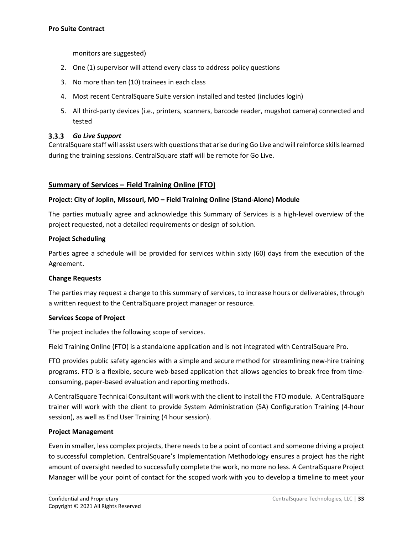monitors are suggested)

- 2. One (1) supervisor will attend every class to address policy questions
- 3. No more than ten (10) trainees in each class
- 4. Most recent CentralSquare Suite version installed and tested (includes login)
- 5. All third-party devices (i.e., printers, scanners, barcode reader, mugshot camera) connected and tested

#### *Go Live Support*

CentralSquare staff will assist users with questions that arise during Go Live and will reinforce skills learned during the training sessions. CentralSquare staff will be remote for Go Live.

#### **Summary of Services – Field Training Online (FTO)**

#### **Project: City of Joplin, Missouri, MO – Field Training Online (Stand-Alone) Module**

The parties mutually agree and acknowledge this Summary of Services is a high-level overview of the project requested, not a detailed requirements or design of solution.

#### **Project Scheduling**

Parties agree a schedule will be provided for services within sixty (60) days from the execution of the Agreement.

#### **Change Requests**

The parties may request a change to this summary of services, to increase hours or deliverables, through a written request to the CentralSquare project manager or resource.

#### **Services Scope of Project**

The project includes the following scope of services.

Field Training Online (FTO) is a standalone application and is not integrated with CentralSquare Pro.

FTO provides public safety agencies with a simple and secure method for streamlining new-hire training programs. FTO is a flexible, secure web-based application that allows agencies to break free from timeconsuming, paper-based evaluation and reporting methods.

A CentralSquare Technical Consultant will work with the client to install the FTO module. A CentralSquare trainer will work with the client to provide System Administration (SA) Configuration Training (4-hour session), as well as End User Training (4 hour session).

#### **Project Management**

Even in smaller, less complex projects, there needs to be a point of contact and someone driving a project to successful completion. CentralSquare's Implementation Methodology ensures a project has the right amount of oversight needed to successfully complete the work, no more no less. A CentralSquare Project Manager will be your point of contact for the scoped work with you to develop a timeline to meet your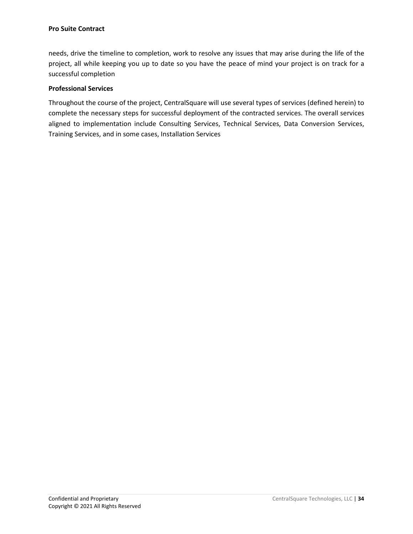needs, drive the timeline to completion, work to resolve any issues that may arise during the life of the project, all while keeping you up to date so you have the peace of mind your project is on track for a successful completion

#### **Professional Services**

Throughout the course of the project, CentralSquare will use several types of services (defined herein) to complete the necessary steps for successful deployment of the contracted services. The overall services aligned to implementation include Consulting Services, Technical Services, Data Conversion Services, Training Services, and in some cases, Installation Services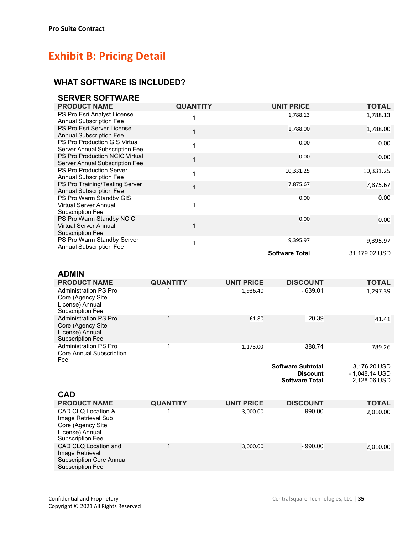## **Exhibit B: Pricing Detail**

#### **WHAT SOFTWARE IS INCLUDED?**

| <b>SERVER SOFTWARE</b>                                                              |                 |                       |               |
|-------------------------------------------------------------------------------------|-----------------|-----------------------|---------------|
| <b>PRODUCT NAME</b>                                                                 | <b>QUANTITY</b> | <b>UNIT PRICE</b>     | <b>TOTAL</b>  |
| PS Pro Esri Analyst License<br><b>Annual Subscription Fee</b>                       | 1               | 1,788.13              | 1,788.13      |
| PS Pro Esri Server License<br><b>Annual Subscription Fee</b>                        | 1               | 1,788.00              | 1,788.00      |
| <b>PS Pro Production GIS Virtual</b><br>Server Annual Subscription Fee              | 1               | 0.00                  | 0.00          |
| <b>PS Pro Production NCIC Virtual</b><br>Server Annual Subscription Fee             | $\mathbf{1}$    | 0.00                  | 0.00          |
| PS Pro Production Server<br><b>Annual Subscription Fee</b>                          | 1               | 10,331.25             | 10,331.25     |
| PS Pro Training/Testing Server<br><b>Annual Subscription Fee</b>                    | $\mathbf 1$     | 7,875.67              | 7,875.67      |
| PS Pro Warm Standby GIS<br><b>Virtual Server Annual</b><br><b>Subscription Fee</b>  |                 | 0.00                  | 0.00          |
| PS Pro Warm Standby NCIC<br><b>Virtual Server Annual</b><br><b>Subscription Fee</b> | 1               | 0.00                  | 0.00          |
| PS Pro Warm Standby Server<br><b>Annual Subscription Fee</b>                        | 1               | 9,395.97              | 9,395.97      |
|                                                                                     |                 | <b>Software Total</b> | 31,179.02 USD |

### **ADMIN**

| <b>PRODUCT NAME</b>                                                                              | <b>QUANTITY</b> | <b>UNIT PRICE</b> | <b>DISCOUNT</b>                                                      | <b>TOTAL</b>                                   |
|--------------------------------------------------------------------------------------------------|-----------------|-------------------|----------------------------------------------------------------------|------------------------------------------------|
| <b>Administration PS Pro</b><br>Core (Agency Site<br>License) Annual<br>Subscription Fee         |                 | 1,936.40          | $-639.01$                                                            | 1,297.39                                       |
| <b>Administration PS Pro</b><br>Core (Agency Site)<br>License) Annual<br><b>Subscription Fee</b> |                 | 61.80             | $-20.39$                                                             | 41.41                                          |
| <b>Administration PS Pro</b><br>Core Annual Subscription<br>Fee                                  |                 | 1,178.00          | - 388.74                                                             | 789.26                                         |
|                                                                                                  |                 |                   | <b>Software Subtotal</b><br><b>Discount</b><br><b>Software Total</b> | 3,176.20 USD<br>- 1,048.14 USD<br>2.128.06 USD |

| <b>CAD</b>                                                                                                   |                 |                   |                 |              |
|--------------------------------------------------------------------------------------------------------------|-----------------|-------------------|-----------------|--------------|
| <b>PRODUCT NAME</b>                                                                                          | <b>QUANTITY</b> | <b>UNIT PRICE</b> | <b>DISCOUNT</b> | <b>TOTAL</b> |
| CAD CLQ Location &<br>Image Retrieval Sub<br>Core (Agency Site<br>License) Annual<br><b>Subscription Fee</b> |                 | 3,000.00          | $-990.00$       | 2,010.00     |
| CAD CLQ Location and<br>Image Retrieval<br><b>Subscription Core Annual</b><br><b>Subscription Fee</b>        |                 | 3,000.00          | $-990.00$       | 2,010.00     |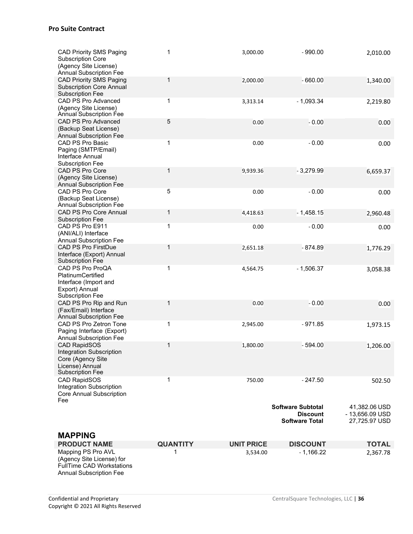| <b>CAD Priority SMS Paging</b><br><b>Subscription Core</b><br>(Agency Site License)<br><b>Annual Subscription Fee</b>     | 1               | 3,000.00          | $-990.00$                                                            | 2,010.00                                          |
|---------------------------------------------------------------------------------------------------------------------------|-----------------|-------------------|----------------------------------------------------------------------|---------------------------------------------------|
| <b>CAD Priority SMS Paging</b><br><b>Subscription Core Annual</b><br><b>Subscription Fee</b>                              | 1               | 2,000.00          | $-660.00$                                                            | 1,340.00                                          |
| CAD PS Pro Advanced<br>(Agency Site License)<br>Annual Subscription Fee                                                   | 1               | 3,313.14          | $-1,093.34$                                                          | 2,219.80                                          |
| CAD PS Pro Advanced<br>(Backup Seat License)<br><b>Annual Subscription Fee</b>                                            | 5               | 0.00              | $-0.00$                                                              | 0.00                                              |
| CAD PS Pro Basic<br>Paging (SMTP/Email)<br>Interface Annual<br><b>Subscription Fee</b>                                    | $\mathbf{1}$    | 0.00              | $-0.00$                                                              | 0.00                                              |
| CAD PS Pro Core<br>(Agency Site License)<br><b>Annual Subscription Fee</b>                                                | $\mathbf 1$     | 9,939.36          | $-3,279.99$                                                          | 6,659.37                                          |
| CAD PS Pro Core<br>(Backup Seat License)<br>Annual Subscription Fee                                                       | 5               | 0.00              | $-0.00$                                                              | 0.00                                              |
| <b>CAD PS Pro Core Annual</b><br><b>Subscription Fee</b>                                                                  | 1               | 4,418.63          | $-1,458.15$                                                          | 2,960.48                                          |
| CAD PS Pro E911<br>(ANI/ALI) Interface<br><b>Annual Subscription Fee</b>                                                  | 1               | 0.00              | $-0.00$                                                              | 0.00                                              |
| <b>CAD PS Pro FirstDue</b><br>Interface (Export) Annual<br><b>Subscription Fee</b>                                        | 1               | 2,651.18          | $-874.89$                                                            | 1,776.29                                          |
| CAD PS Pro ProQA<br>PlatinumCertified<br>Interface (Import and<br>Export) Annual<br><b>Subscription Fee</b>               | 1               | 4,564.75          | $-1,506.37$                                                          | 3,058.38                                          |
| CAD PS Pro Rip and Run<br>(Fax/Email) Interface<br><b>Annual Subscription Fee</b>                                         | 1               | 0.00              | $-0.00$                                                              | 0.00                                              |
| CAD PS Pro Zetron Tone<br>Paging Interface (Export)<br><b>Annual Subscription Fee</b>                                     | 1               | 2,945.00          | $-971.85$                                                            | 1,973.15                                          |
| <b>CAD RapidSOS</b><br><b>Integration Subscription</b><br>Core (Agency Site<br>License) Annual<br><b>Subscription Fee</b> | $\mathbf 1$     | 1,800.00          | - 594.00                                                             | 1,206.00                                          |
| <b>CAD RapidSOS</b><br><b>Integration Subscription</b><br>Core Annual Subscription<br>Fee                                 | 1               | 750.00            | - 247.50                                                             | 502.50                                            |
|                                                                                                                           |                 |                   | <b>Software Subtotal</b><br><b>Discount</b><br><b>Software Total</b> | 41,382.06 USD<br>- 13,656.09 USD<br>27,725.97 USD |
| <b>MAPPING</b>                                                                                                            |                 |                   |                                                                      |                                                   |
| <b>PRODUCT NAME</b>                                                                                                       | <b>QUANTITY</b> | <b>UNIT PRICE</b> | <b>DISCOUNT</b>                                                      | <b>TOTAL</b>                                      |
| Mapping PS Pro AVL<br>(Agency Site License) for<br><b>FullTime CAD Workstations</b><br><b>Annual Subscription Fee</b>     | 1               | 3,534.00          | $-1,166.22$                                                          | 2,367.78                                          |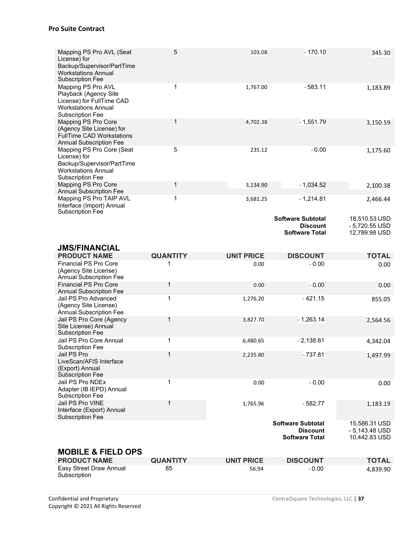| Mapping PS Pro AVL (Seat<br>License) for<br>Backup/Supervisor/PartTime<br><b>Workstations Annual</b><br><b>Subscription Fee</b>   | 5                     | 103.08                     | $-170.10$                                                            | 345.30                                            |
|-----------------------------------------------------------------------------------------------------------------------------------|-----------------------|----------------------------|----------------------------------------------------------------------|---------------------------------------------------|
| Mapping PS Pro AVL<br>Playback (Agency Site<br>License) for FullTime CAD<br><b>Workstations Annual</b><br><b>Subscription Fee</b> | 1                     | 1,767.00                   | $-583.11$                                                            | 1,183.89                                          |
| Mapping PS Pro Core<br>(Agency Site License) for<br><b>FullTime CAD Workstations</b><br><b>Annual Subscription Fee</b>            | 1                     | 4,702.38                   | $-1,551.79$                                                          | 3,150.59                                          |
| Mapping PS Pro Core (Seat<br>License) for<br>Backup/Supervisor/PartTime<br><b>Workstations Annual</b><br><b>Subscription Fee</b>  | 5                     | 235.12                     | $-0.00$                                                              | 1,175.60                                          |
| Mapping PS Pro Core<br><b>Annual Subscription Fee</b>                                                                             | 1                     | 3,134.90                   | $-1,034.52$                                                          | 2,100.38                                          |
| Mapping PS Pro TAIP AVL<br>Interface (Import) Annual<br><b>Subscription Fee</b>                                                   | 1                     | 3,681.25                   | $-1,214.81$                                                          | 2,466.44                                          |
|                                                                                                                                   |                       |                            | <b>Software Subtotal</b><br><b>Discount</b><br><b>Software Total</b> | 18,510.53 USD<br>- 5,720.55 USD<br>12,789.98 USD  |
| <b>JMS/FINANCIAL</b>                                                                                                              |                       |                            |                                                                      |                                                   |
| <b>PRODUCT NAME</b>                                                                                                               | <b>QUANTITY</b>       | <b>UNIT PRICE</b>          | <b>DISCOUNT</b>                                                      | <b>TOTAL</b>                                      |
| <b>Financial PS Pro Core</b>                                                                                                      | 1                     | 0.00                       | $-0.00$                                                              | 0.00                                              |
| (Agency Site License)<br><b>Annual Subscription Fee</b>                                                                           |                       |                            |                                                                      |                                                   |
| <b>Financial PS Pro Core</b>                                                                                                      | 1                     | 0.00                       | $-0.00$                                                              | 0.00                                              |
| <b>Annual Subscription Fee</b><br>Jail PS Pro Advanced<br>(Agency Site License)                                                   | 1                     | 1,276.20                   | $-421.15$                                                            | 855.05                                            |
| <b>Annual Subscription Fee</b><br>Jail PS Pro Core (Agency<br>Site License) Annual<br><b>Subscription Fee</b>                     | $\mathbf{1}$          | 3,827.70                   | $-1,263.14$                                                          | 2,564.56                                          |
| Jail PS Pro Core Annual                                                                                                           | 1                     | 6,480.65                   | $-2,138.61$                                                          | 4,342.04                                          |
| <b>Subscription Fee</b><br>Jail PS Pro<br>LiveScan/AFIS Interface<br>(Export) Annual                                              | $\mathbf 1$           | 2,235.80                   | $-737.81$                                                            | 1,497.99                                          |
| <b>Subscription Fee</b><br>Jail PS Pro NDEx<br>Adapter (IB IEPD) Annual                                                           | 1                     | 0.00                       | $-0.00$                                                              | 0.00                                              |
| <b>Subscription Fee</b><br>Jail PS Pro VINE<br>Interface (Export) Annual                                                          | 1                     | 1,765.96                   | $-582.77$                                                            | 1,183.19                                          |
| <b>Subscription Fee</b>                                                                                                           |                       |                            | <b>Software Subtotal</b><br><b>Discount</b><br><b>Software Total</b> | 15,586.31 USD<br>$-5,143.48$ USD<br>10,442.83 USD |
| <b>MOBILE &amp; FIELD OPS</b>                                                                                                     |                       |                            |                                                                      |                                                   |
| <b>PRODUCT NAME</b><br>Easy Street Draw Annual                                                                                    | <b>QUANTITY</b><br>85 | <b>UNIT PRICE</b><br>56.94 | <b>DISCOUNT</b><br>$-0.00$                                           | <b>TOTAL</b><br>4,839.90                          |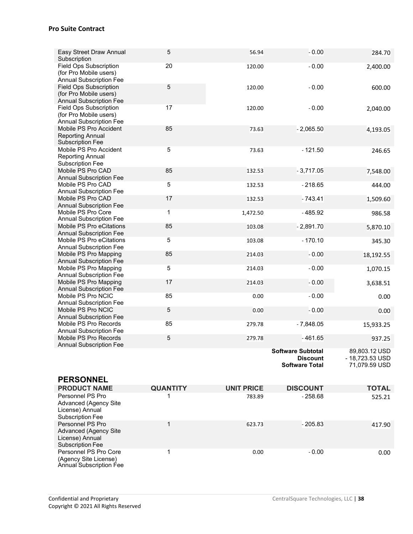| Easy Street Draw Annual                                 | $\overline{5}$  | 56.94             | $-0.00$                  | 284.70          |
|---------------------------------------------------------|-----------------|-------------------|--------------------------|-----------------|
| Subscription<br>Field Ops Subscription                  | 20              | 120.00            | $-0.00$                  |                 |
| (for Pro Mobile users)                                  |                 |                   |                          | 2,400.00        |
| <b>Annual Subscription Fee</b>                          |                 |                   |                          |                 |
| <b>Field Ops Subscription</b>                           | 5               | 120.00            | $-0.00$                  | 600.00          |
| (for Pro Mobile users)                                  |                 |                   |                          |                 |
| <b>Annual Subscription Fee</b>                          |                 |                   |                          |                 |
| Field Ops Subscription                                  | 17              | 120.00            | $-0.00$                  | 2,040.00        |
| (for Pro Mobile users)                                  |                 |                   |                          |                 |
| <b>Annual Subscription Fee</b>                          |                 |                   |                          |                 |
| Mobile PS Pro Accident                                  | 85              | 73.63             | $-2,065.50$              | 4,193.05        |
| <b>Reporting Annual</b>                                 |                 |                   |                          |                 |
| <b>Subscription Fee</b>                                 |                 |                   |                          |                 |
| Mobile PS Pro Accident<br><b>Reporting Annual</b>       | $\overline{5}$  | 73.63             | $-121.50$                | 246.65          |
| <b>Subscription Fee</b>                                 |                 |                   |                          |                 |
| Mobile PS Pro CAD                                       | 85              | 132.53            | $-3,717.05$              | 7,548.00        |
| <b>Annual Subscription Fee</b>                          |                 |                   |                          |                 |
| Mobile PS Pro CAD                                       | 5               | 132.53            | $-218.65$                | 444.00          |
| <b>Annual Subscription Fee</b>                          |                 |                   |                          |                 |
| Mobile PS Pro CAD                                       | 17              | 132.53            | $-743.41$                | 1,509.60        |
| <b>Annual Subscription Fee</b>                          |                 |                   |                          |                 |
| Mobile PS Pro Core                                      | $\mathbf{1}$    | 1,472.50          | $-485.92$                | 986.58          |
| <b>Annual Subscription Fee</b>                          |                 |                   |                          |                 |
| Mobile PS Pro eCitations                                | 85              | 103.08            | $-2,891.70$              | 5,870.10        |
| <b>Annual Subscription Fee</b>                          |                 |                   |                          |                 |
| Mobile PS Pro eCitations                                | 5               | 103.08            | $-170.10$                | 345.30          |
| <b>Annual Subscription Fee</b>                          |                 |                   |                          |                 |
| Mobile PS Pro Mapping<br><b>Annual Subscription Fee</b> | 85              | 214.03            | $-0.00$                  | 18,192.55       |
| Mobile PS Pro Mapping                                   | 5               | 214.03            | $-0.00$                  |                 |
| <b>Annual Subscription Fee</b>                          |                 |                   |                          | 1,070.15        |
| Mobile PS Pro Mapping                                   | 17              | 214.03            | $-0.00$                  | 3,638.51        |
| <b>Annual Subscription Fee</b>                          |                 |                   |                          |                 |
| Mobile PS Pro NCIC                                      | 85              | 0.00              | $-0.00$                  | 0.00            |
| <b>Annual Subscription Fee</b>                          |                 |                   |                          |                 |
| Mobile PS Pro NCIC                                      | 5               | 0.00              | $-0.00$                  | 0.00            |
| <b>Annual Subscription Fee</b>                          |                 |                   |                          |                 |
| Mobile PS Pro Records                                   | 85              | 279.78            | $-7,848.05$              | 15,933.25       |
| <b>Annual Subscription Fee</b>                          |                 |                   |                          |                 |
| Mobile PS Pro Records<br><b>Annual Subscription Fee</b> | 5               | 279.78            | $-461.65$                | 937.25          |
|                                                         |                 |                   | <b>Software Subtotal</b> | 89,803.12 USD   |
|                                                         |                 |                   | <b>Discount</b>          | - 18,723.53 USD |
|                                                         |                 |                   | <b>Software Total</b>    | 71,079.59 USD   |
|                                                         |                 |                   |                          |                 |
| <b>PERSONNEL</b>                                        |                 |                   |                          |                 |
| <b>PRODUCT NAME</b>                                     | <b>QUANTITY</b> | <b>UNIT PRICE</b> | <b>DISCOUNT</b>          | <b>TOTAL</b>    |
| Personnel PS Pro                                        | 1               | 783.89            | $-258.68$                | 525.21          |
| <b>Advanced (Agency Site</b>                            |                 |                   |                          |                 |
| License) Annual                                         |                 |                   |                          |                 |
| Subscription Fee                                        |                 |                   |                          |                 |
| Personnel PS Pro                                        | $\mathbf{1}$    | 623.73            | $-205.83$                | 417.90          |
| <b>Advanced (Agency Site</b>                            |                 |                   |                          |                 |
| License) Annual                                         |                 |                   |                          |                 |
| Subscription Fee<br>Personnel PS Pro Core               | $\mathbf 1$     | 0.00              | $-0.00$                  |                 |
| (Agency Site License)                                   |                 |                   |                          | 0.00            |
| Annual Subscription Fee                                 |                 |                   |                          |                 |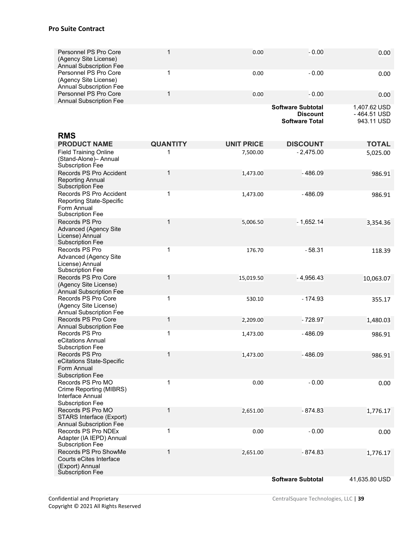| Personnel PS Pro Core<br>(Agency Site License)<br><b>Annual Subscription Fee</b>                     | $\mathbf{1}$    | 0.00              | $-0.00$                                                              | 0.00                                      |
|------------------------------------------------------------------------------------------------------|-----------------|-------------------|----------------------------------------------------------------------|-------------------------------------------|
| Personnel PS Pro Core<br>(Agency Site License)<br><b>Annual Subscription Fee</b>                     | $\mathbf 1$     | 0.00              | $-0.00$                                                              | 0.00                                      |
| Personnel PS Pro Core<br><b>Annual Subscription Fee</b>                                              | $\mathbf{1}$    | 0.00              | $-0.00$                                                              | 0.00                                      |
|                                                                                                      |                 |                   | <b>Software Subtotal</b><br><b>Discount</b><br><b>Software Total</b> | 1,407.62 USD<br>-464.51 USD<br>943.11 USD |
| <b>RMS</b>                                                                                           |                 |                   |                                                                      |                                           |
| <b>PRODUCT NAME</b>                                                                                  | <b>QUANTITY</b> | <b>UNIT PRICE</b> | <b>DISCOUNT</b>                                                      | <b>TOTAL</b>                              |
| <b>Field Training Online</b><br>(Stand-Alone)- Annual<br><b>Subscription Fee</b>                     | 1               | 7,500.00          | $-2,475.00$                                                          | 5,025.00                                  |
| Records PS Pro Accident<br><b>Reporting Annual</b><br><b>Subscription Fee</b>                        | $\mathbf{1}$    | 1,473.00          | $-486.09$                                                            | 986.91                                    |
| Records PS Pro Accident<br><b>Reporting State-Specific</b><br>Form Annual<br><b>Subscription Fee</b> | 1               | 1,473.00          | $-486.09$                                                            | 986.91                                    |
| Records PS Pro<br><b>Advanced (Agency Site</b><br>License) Annual<br><b>Subscription Fee</b>         | $\mathbf{1}$    | 5,006.50          | $-1,652.14$                                                          | 3,354.36                                  |
| Records PS Pro<br><b>Advanced (Agency Site</b><br>License) Annual<br>Subscription Fee                | 1               | 176.70            | $-58.31$                                                             | 118.39                                    |
| Records PS Pro Core<br>(Agency Site License)<br><b>Annual Subscription Fee</b>                       | $\mathbf{1}$    | 15,019.50         | $-4,956.43$                                                          | 10,063.07                                 |
| Records PS Pro Core<br>(Agency Site License)<br><b>Annual Subscription Fee</b>                       | $\mathbf{1}$    | 530.10            | $-174.93$                                                            | 355.17                                    |
| Records PS Pro Core<br><b>Annual Subscription Fee</b>                                                | 1               | 2,209.00          | - 728.97                                                             | 1,480.03                                  |
| Records PS Pro<br>eCitations Annual<br><b>Subscription Fee</b>                                       | 1               | 1,473.00          | $-486.09$                                                            | 986.91                                    |
| Records PS Pro<br>eCitations State-Specific<br>Form Annual<br><b>Subscription Fee</b>                | 1               | 1,473.00          | $-486.09$                                                            | 986.91                                    |
| Records PS Pro MO<br>Crime Reporting (MIBRS)<br>Interface Annual<br>Subscription Fee                 | 1               | 0.00              | $-0.00$                                                              | 0.00                                      |
| Records PS Pro MO<br>STARS Interface (Export)<br><b>Annual Subscription Fee</b>                      | 1               | 2,651.00          | $-874.83$                                                            | 1,776.17                                  |
| Records PS Pro NDEx<br>Adapter (IA IEPD) Annual<br><b>Subscription Fee</b>                           | 1               | 0.00              | $-0.00$                                                              | 0.00                                      |
| Records PS Pro ShowMe<br>Courts eCites Interface<br>(Export) Annual<br><b>Subscription Fee</b>       | $\mathbf{1}$    | 2,651.00          | $-874.83$                                                            | 1,776.17                                  |
|                                                                                                      |                 |                   | <b>Software Subtotal</b>                                             | 41,635.80 USD                             |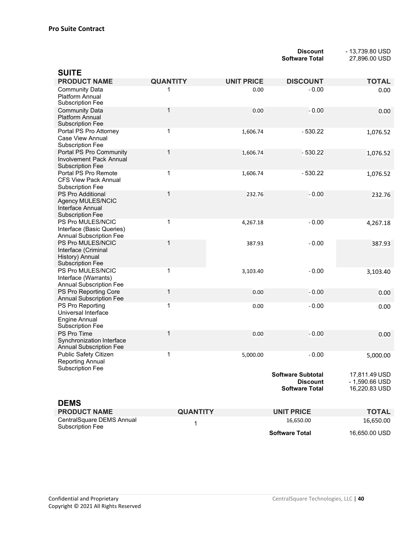**Discount** - 13,739.80 USD<br>**Software Total** 27,896.00 USD **Software Total** 27,896.00 USD

| <b>SUITE</b>                                                                                                          |                 |                   |                                                                      |                                                  |
|-----------------------------------------------------------------------------------------------------------------------|-----------------|-------------------|----------------------------------------------------------------------|--------------------------------------------------|
| <b>PRODUCT NAME</b>                                                                                                   | <b>QUANTITY</b> | <b>UNIT PRICE</b> | <b>DISCOUNT</b>                                                      | <b>TOTAL</b>                                     |
| <b>Community Data</b><br>Platform Annual<br>Subscription Fee                                                          | 1               | 0.00              | $-0.00$                                                              | 0.00                                             |
| <b>Community Data</b><br><b>Platform Annual</b><br><b>Subscription Fee</b>                                            | 1               | 0.00              | $-0.00$                                                              | 0.00                                             |
| Portal PS Pro Attorney<br><b>Case View Annual</b><br><b>Subscription Fee</b>                                          | 1               | 1,606.74          | $-530.22$                                                            | 1,076.52                                         |
| Portal PS Pro Community<br><b>Involvement Pack Annual</b><br><b>Subscription Fee</b>                                  | 1               | 1,606.74          | $-530.22$                                                            | 1,076.52                                         |
| Portal PS Pro Remote<br><b>CFS View Pack Annual</b><br><b>Subscription Fee</b>                                        | 1               | 1,606.74          | - 530.22                                                             | 1,076.52                                         |
| PS Pro Additional<br>Agency MULES/NCIC<br>Interface Annual<br>Subscription Fee                                        | 1               | 232.76            | $-0.00$                                                              | 232.76                                           |
| PS Pro MULES/NCIC<br>Interface (Basic Queries)<br><b>Annual Subscription Fee</b>                                      | 1               | 4,267.18          | $-0.00$                                                              | 4,267.18                                         |
| PS Pro MULES/NCIC<br>Interface (Criminal<br>History) Annual<br><b>Subscription Fee</b>                                | 1               | 387.93            | $-0.00$                                                              | 387.93                                           |
| PS Pro MULES/NCIC<br>Interface (Warrants)<br><b>Annual Subscription Fee</b>                                           | 1               | 3,103.40          | $-0.00$                                                              | 3,103.40                                         |
| PS Pro Reporting Core                                                                                                 | 1               | 0.00              | $-0.00$                                                              | 0.00                                             |
| <b>Annual Subscription Fee</b><br>PS Pro Reporting<br>Universal Interface<br><b>Engine Annual</b><br>Subscription Fee | 1               | 0.00              | $-0.00$                                                              | 0.00                                             |
| PS Pro Time<br>Synchronization Interface<br>Annual Subscription Fee                                                   | 1               | 0.00              | $-0.00$                                                              | 0.00                                             |
| Public Safety Citizen<br><b>Reporting Annual</b><br><b>Subscription Fee</b>                                           | 1               | 5,000.00          | $-0.00$                                                              | 5,000.00                                         |
|                                                                                                                       |                 |                   | <b>Software Subtotal</b><br><b>Discount</b><br><b>Software Total</b> | 17,811.49 USD<br>- 1,590.66 USD<br>16,220.83 USD |
| <b>DEMS</b><br><b>PRODUCT NAME</b>                                                                                    | <b>QUANTITY</b> |                   | <b>UNIT PRICE</b>                                                    | <b>TOTAL</b>                                     |
| CentralSquare DEMS Annual<br><b>Subscription Fee</b>                                                                  | 1               |                   | 16,650.00                                                            | 16,650.00                                        |
|                                                                                                                       |                 |                   | <b>Software Total</b>                                                | 16,650.00 USD                                    |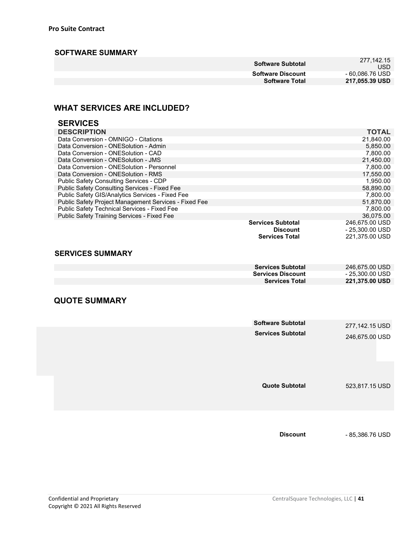#### **SOFTWARE SUMMARY**

| Software Subtotal        | 277.142.15<br>USD |
|--------------------------|-------------------|
| <b>Software Discount</b> | - 60.086.76 USD   |
| <b>Software Total</b>    | 217,055.39 USD    |
|                          |                   |

### **WHAT SERVICES ARE INCLUDED?**

| <b>SERVICES</b>                                       |                          |                 |
|-------------------------------------------------------|--------------------------|-----------------|
| <b>DESCRIPTION</b>                                    |                          | <b>TOTAL</b>    |
| Data Conversion - OMNIGO - Citations                  |                          | 21,840.00       |
| Data Conversion - ONESolution - Admin                 |                          | 5,850.00        |
| Data Conversion - ONESolution - CAD                   |                          | 7,800.00        |
| Data Conversion - ONE Solution - JMS                  |                          | 21,450.00       |
| Data Conversion - ONESolution - Personnel             |                          | 7,800.00        |
| Data Conversion - ONESolution - RMS                   |                          | 17.550.00       |
| Public Safety Consulting Services - CDP               |                          | 1,950.00        |
| Public Safety Consulting Services - Fixed Fee         |                          | 58,890.00       |
| Public Safety GIS/Analytics Services - Fixed Fee      |                          | 7.800.00        |
| Public Safety Project Management Services - Fixed Fee |                          | 51,870.00       |
| Public Safety Technical Services - Fixed Fee          |                          | 7,800.00        |
| <b>Public Safety Training Services - Fixed Fee</b>    |                          | 36,075.00       |
|                                                       | <b>Services Subtotal</b> | 246,675.00 USD  |
|                                                       | <b>Discount</b>          | - 25,300.00 USD |
|                                                       | <b>Services Total</b>    | 221.375.00 USD  |

#### **SERVICES SUMMARY**

| <b>Services Subtotal</b> | 246,675.00 USD  |
|--------------------------|-----------------|
| <b>Services Discount</b> | - 25.300.00 USD |
| <b>Services Total</b>    | 221,375.00 USD  |
|                          |                 |

#### **QUOTE SUMMARY**

| <b>Software Subtotal</b><br><b>Services Subtotal</b> | 277,142.15 USD<br>246,675.00 USD |
|------------------------------------------------------|----------------------------------|
| <b>Quote Subtotal</b>                                | 523,817.15 USD                   |
|                                                      |                                  |

**Discount** - 85,386.76 USD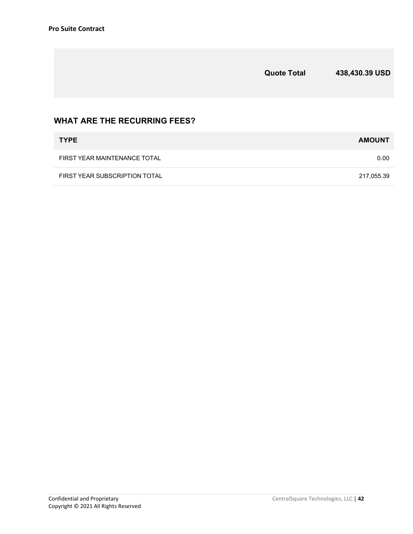|                                     | <b>Quote Total</b> | 438,430.39 USD |
|-------------------------------------|--------------------|----------------|
| <b>WHAT ARE THE RECURRING FEES?</b> |                    |                |
| <b>TYPE</b>                         |                    | <b>AMOUNT</b>  |

| FIRST YEAR SUBSCRIPTION TOTAL | 217.055.39 |
|-------------------------------|------------|

FIRST YEAR MAINTENANCE TOTAL 0.00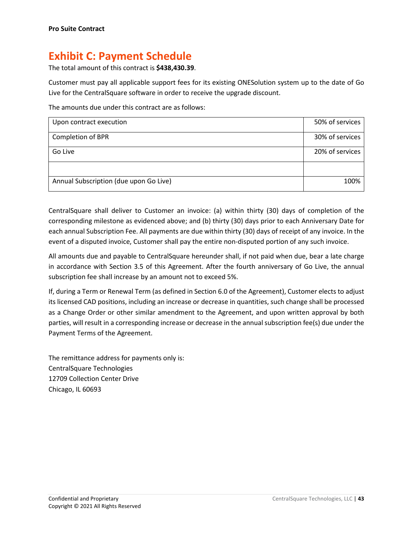## **Exhibit C: Payment Schedule**

The total amount of this contract is **\$438,430.39**.

Customer must pay all applicable support fees for its existing ONESolution system up to the date of Go Live for the CentralSquare software in order to receive the upgrade discount.

The amounts due under this contract are as follows:

| Upon contract execution                | 50% of services |
|----------------------------------------|-----------------|
| Completion of BPR                      | 30% of services |
| Go Live                                | 20% of services |
|                                        |                 |
| Annual Subscription (due upon Go Live) | 100%            |

CentralSquare shall deliver to Customer an invoice: (a) within thirty (30) days of completion of the corresponding milestone as evidenced above; and (b) thirty (30) days prior to each Anniversary Date for each annual Subscription Fee. All payments are due within thirty (30) days of receipt of any invoice. In the event of a disputed invoice, Customer shall pay the entire non-disputed portion of any such invoice.

All amounts due and payable to CentralSquare hereunder shall, if not paid when due, bear a late charge in accordance with Section 3.5 of this Agreement. After the fourth anniversary of Go Live, the annual subscription fee shall increase by an amount not to exceed 5%.

If, during a Term or Renewal Term (as defined in Section 6.0 of the Agreement), Customer elects to adjust its licensed CAD positions, including an increase or decrease in quantities, such change shall be processed as a Change Order or other similar amendment to the Agreement, and upon written approval by both parties, will result in a corresponding increase or decrease in the annual subscription fee(s) due under the Payment Terms of the Agreement.

The remittance address for payments only is: CentralSquare Technologies 12709 Collection Center Drive Chicago, IL 60693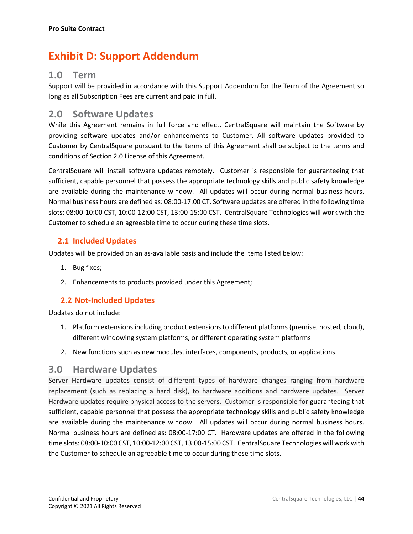## **Exhibit D: Support Addendum**

## **1.0 Term**

Support will be provided in accordance with this Support Addendum for the Term of the Agreement so long as all Subscription Fees are current and paid in full.

## **2.0 Software Updates**

While this Agreement remains in full force and effect, CentralSquare will maintain the Software by providing software updates and/or enhancements to Customer. All software updates provided to Customer by CentralSquare pursuant to the terms of this Agreement shall be subject to the terms and conditions of Section 2.0 License of this Agreement.

CentralSquare will install software updates remotely. Customer is responsible for guaranteeing that sufficient, capable personnel that possess the appropriate technology skills and public safety knowledge are available during the maintenance window. All updates will occur during normal business hours. Normal business hours are defined as: 08:00-17:00 CT. Software updates are offered in the following time slots: 08:00-10:00 CST, 10:00-12:00 CST, 13:00-15:00 CST. CentralSquare Technologies will work with the Customer to schedule an agreeable time to occur during these time slots.

#### **2.1 Included Updates**

Updates will be provided on an as-available basis and include the items listed below:

- 1. Bug fixes;
- 2. Enhancements to products provided under this Agreement;

#### **2.2 Not-Included Updates**

Updates do not include:

- 1. Platform extensions including product extensions to different platforms (premise, hosted, cloud), different windowing system platforms, or different operating system platforms
- 2. New functions such as new modules, interfaces, components, products, or applications.

## **3.0 Hardware Updates**

Server Hardware updates consist of different types of hardware changes ranging from hardware replacement (such as replacing a hard disk), to hardware additions and hardware updates. Server Hardware updates require physical access to the servers. Customer is responsible for guaranteeing that sufficient, capable personnel that possess the appropriate technology skills and public safety knowledge are available during the maintenance window. All updates will occur during normal business hours. Normal business hours are defined as: 08:00-17:00 CT. Hardware updates are offered in the following time slots: 08:00-10:00 CST, 10:00-12:00 CST, 13:00-15:00 CST. CentralSquare Technologies will work with the Customer to schedule an agreeable time to occur during these time slots.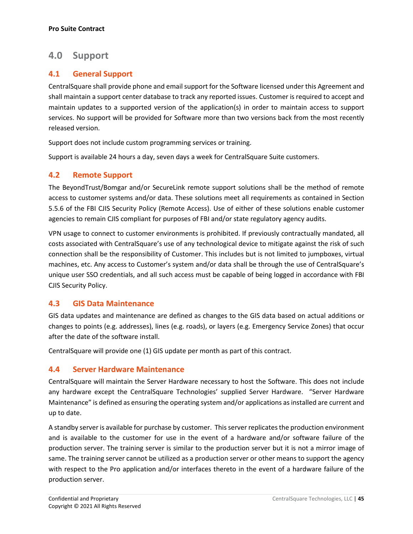### **4.0 Support**

#### **4.1 General Support**

CentralSquare shall provide phone and email support for the Software licensed under this Agreement and shall maintain a support center database to track any reported issues. Customer is required to accept and maintain updates to a supported version of the application(s) in order to maintain access to support services. No support will be provided for Software more than two versions back from the most recently released version.

Support does not include custom programming services or training.

Support is available 24 hours a day, seven days a week for CentralSquare Suite customers.

#### **4.2 Remote Support**

The BeyondTrust/Bomgar and/or SecureLink remote support solutions shall be the method of remote access to customer systems and/or data. These solutions meet all requirements as contained in Section 5.5.6 of the FBI CJIS Security Policy (Remote Access). Use of either of these solutions enable customer agencies to remain CJIS compliant for purposes of FBI and/or state regulatory agency audits.

VPN usage to connect to customer environments is prohibited. If previously contractually mandated, all costs associated with CentralSquare's use of any technological device to mitigate against the risk of such connection shall be the responsibility of Customer. This includes but is not limited to jumpboxes, virtual machines, etc. Any access to Customer's system and/or data shall be through the use of CentralSquare's unique user SSO credentials, and all such access must be capable of being logged in accordance with FBI CJIS Security Policy.

#### **4.3 GIS Data Maintenance**

GIS data updates and maintenance are defined as changes to the GIS data based on actual additions or changes to points (e.g. addresses), lines (e.g. roads), or layers (e.g. Emergency Service Zones) that occur after the date of the software install.

CentralSquare will provide one (1) GIS update per month as part of this contract.

#### **4.4 Server Hardware Maintenance**

CentralSquare will maintain the Server Hardware necessary to host the Software. This does not include any hardware except the CentralSquare Technologies' supplied Server Hardware. "Server Hardware Maintenance" is defined as ensuring the operating system and/or applications as installed are current and up to date.

A standby server is available for purchase by customer. This server replicates the production environment and is available to the customer for use in the event of a hardware and/or software failure of the production server. The training server is similar to the production server but it is not a mirror image of same. The training server cannot be utilized as a production server or other means to support the agency with respect to the Pro application and/or interfaces thereto in the event of a hardware failure of the production server.